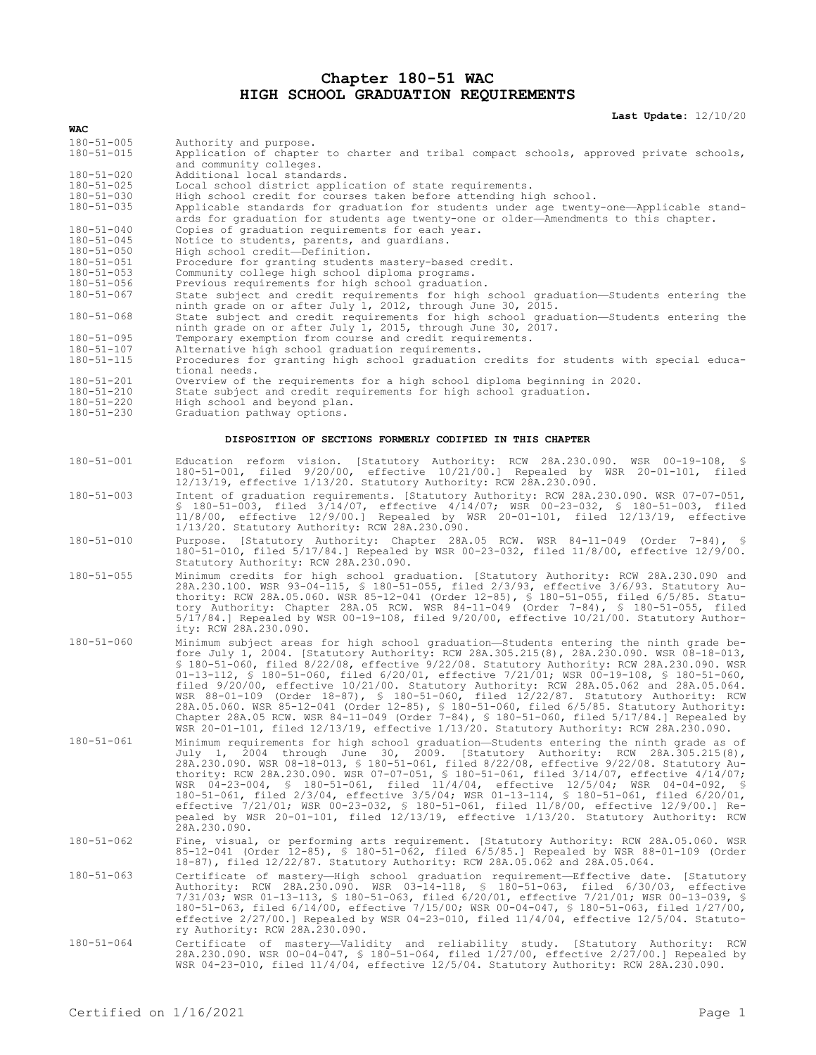## **Chapter 180-51 WAC HIGH SCHOOL GRADUATION REQUIREMENTS**

**Last Update:** 12/10/20

| WAC                                                       |                                                                                                                                                                                                                                                                                                                                                                                                                                                                                                                                                                                                                                                                                                                                                                                                                                                                     |
|-----------------------------------------------------------|---------------------------------------------------------------------------------------------------------------------------------------------------------------------------------------------------------------------------------------------------------------------------------------------------------------------------------------------------------------------------------------------------------------------------------------------------------------------------------------------------------------------------------------------------------------------------------------------------------------------------------------------------------------------------------------------------------------------------------------------------------------------------------------------------------------------------------------------------------------------|
| $180 - 51 - 005$<br>$180 - 51 - 015$                      | Authority and purpose.<br>Application of chapter to charter and tribal compact schools, approved private schools,<br>and community colleges.                                                                                                                                                                                                                                                                                                                                                                                                                                                                                                                                                                                                                                                                                                                        |
| $180 - 51 - 020$                                          | Additional local standards.                                                                                                                                                                                                                                                                                                                                                                                                                                                                                                                                                                                                                                                                                                                                                                                                                                         |
| $180 - 51 - 025$                                          | Local school district application of state requirements.                                                                                                                                                                                                                                                                                                                                                                                                                                                                                                                                                                                                                                                                                                                                                                                                            |
| $180 - 51 - 030$                                          | High school credit for courses taken before attending high school.                                                                                                                                                                                                                                                                                                                                                                                                                                                                                                                                                                                                                                                                                                                                                                                                  |
| $180 - 51 - 035$                                          | Applicable standards for graduation for students under age twenty-one-Applicable stand-<br>ards for graduation for students age twenty-one or older-Amendments to this chapter.                                                                                                                                                                                                                                                                                                                                                                                                                                                                                                                                                                                                                                                                                     |
| $180 - 51 - 040$                                          | Copies of graduation requirements for each year.                                                                                                                                                                                                                                                                                                                                                                                                                                                                                                                                                                                                                                                                                                                                                                                                                    |
| $180 - 51 - 045$                                          | Notice to students, parents, and quardians.                                                                                                                                                                                                                                                                                                                                                                                                                                                                                                                                                                                                                                                                                                                                                                                                                         |
| $180 - 51 - 050$<br>$180 - 51 - 051$                      | High school credit-Definition.<br>Procedure for granting students mastery-based credit.                                                                                                                                                                                                                                                                                                                                                                                                                                                                                                                                                                                                                                                                                                                                                                             |
| $180 - 51 - 053$                                          | Community college high school diploma programs.                                                                                                                                                                                                                                                                                                                                                                                                                                                                                                                                                                                                                                                                                                                                                                                                                     |
| $180 - 51 - 056$                                          | Previous requirements for high school graduation.                                                                                                                                                                                                                                                                                                                                                                                                                                                                                                                                                                                                                                                                                                                                                                                                                   |
| $180 - 51 - 067$                                          | State subject and credit requirements for high school graduation-Students entering the                                                                                                                                                                                                                                                                                                                                                                                                                                                                                                                                                                                                                                                                                                                                                                              |
|                                                           | ninth grade on or after July 1, 2012, through June 30, 2015.                                                                                                                                                                                                                                                                                                                                                                                                                                                                                                                                                                                                                                                                                                                                                                                                        |
| $180 - 51 - 068$                                          | State subject and credit requirements for high school graduation—Students entering the<br>ninth grade on or after July 1, 2015, through June 30, 2017.                                                                                                                                                                                                                                                                                                                                                                                                                                                                                                                                                                                                                                                                                                              |
| $180 - 51 - 095$                                          | Temporary exemption from course and credit requirements.                                                                                                                                                                                                                                                                                                                                                                                                                                                                                                                                                                                                                                                                                                                                                                                                            |
| $180 - 51 - 107$                                          | Alternative high school graduation requirements.<br>Procedures for granting high school graduation credits for students with special educa-                                                                                                                                                                                                                                                                                                                                                                                                                                                                                                                                                                                                                                                                                                                         |
| $180 - 51 - 115$<br>$180 - 51 - 201$                      | tional needs.<br>Overview of the requirements for a high school diploma beginning in 2020.                                                                                                                                                                                                                                                                                                                                                                                                                                                                                                                                                                                                                                                                                                                                                                          |
| $180 - 51 - 210$                                          | State subject and credit requirements for high school graduation.                                                                                                                                                                                                                                                                                                                                                                                                                                                                                                                                                                                                                                                                                                                                                                                                   |
| $180 - 51 - 220$                                          | High school and beyond plan.                                                                                                                                                                                                                                                                                                                                                                                                                                                                                                                                                                                                                                                                                                                                                                                                                                        |
| $180 - 51 - 230$                                          | Graduation pathway options.                                                                                                                                                                                                                                                                                                                                                                                                                                                                                                                                                                                                                                                                                                                                                                                                                                         |
| DISPOSITION OF SECTIONS FORMERLY CODIFIED IN THIS CHAPTER |                                                                                                                                                                                                                                                                                                                                                                                                                                                                                                                                                                                                                                                                                                                                                                                                                                                                     |
| $180 - 51 - 001$                                          | Education reform vision. [Statutory Authority: RCW 28A.230.090. WSR 00-19-108, §<br>180-51-001, filed 9/20/00, effective 10/21/00.] Repealed by WSR 20-01-101, filed<br>12/13/19, effective 1/13/20. Statutory Authority: RCW 28A.230.090.                                                                                                                                                                                                                                                                                                                                                                                                                                                                                                                                                                                                                          |
| $180 - 51 - 003$                                          | Intent of graduation requirements. [Statutory Authority: RCW 28A.230.090. WSR 07-07-051,<br>\$ 180-51-003, filed 3/14/07, effective 4/14/07; WSR 00-23-032, \$ 180-51-003, filed<br>$11/8/00$ , effective $12/9/00$ .] Repealed by WSR 20-01-101, filed $12/13/19$ , effective<br>1/13/20. Statutory Authority: RCW 28A.230.090.                                                                                                                                                                                                                                                                                                                                                                                                                                                                                                                                    |
| $180 - 51 - 010$                                          | Purpose. [Statutory Authority: Chapter 28A.05 RCW. WSR 84-11-049 (Order 7-84), §<br>180-51-010, filed 5/17/84.] Repealed by WSR 00-23-032, filed 11/8/00, effective 12/9/00.<br>Statutory Authority: RCW 28A.230.090.                                                                                                                                                                                                                                                                                                                                                                                                                                                                                                                                                                                                                                               |
| $180 - 51 - 055$                                          | Minimum credits for high school graduation. [Statutory Authority: RCW 28A.230.090 and<br>28A.230.100. WSR 93-04-115, § 180-51-055, filed 2/3/93, effective 3/6/93. Statutory Au-<br>thority: RCW 28A.05.060. WSR 85-12-041 (Order 12-85), § 180-51-055, filed 6/5/85. Statu-<br>tory Authority: Chapter 28A.05 RCW. WSR 84-11-049 (Order 7-84), § 180-51-055, filed<br>$5/17/84$ .] Repealed by WSR 00-19-108, filed 9/20/00, effective 10/21/00. Statutory Author-<br>ity: RCW 28A.230.090.                                                                                                                                                                                                                                                                                                                                                                        |
| $180 - 51 - 060$                                          | Minimum subject areas for high school graduation—Students entering the ninth grade be-<br>fore July 1, 2004. [Statutory Authority: RCW 28A.305.215(8), 28A.230.090. WSR 08-18-013,<br>\$ 180-51-060, filed 8/22/08, effective 9/22/08. Statutory Authority: RCW 28A.230.090. WSR<br>01-13-112, § 180-51-060, filed $6/20/01$ , effective $7/21/01$ ; WSR 00-19-108, § 180-51-060,<br>filed $9/20/00$ , effective $10/21/00$ . Statutory Authority: RCW 28A.05.062 and 28A.05.064.<br>WSR 88-01-109 (Order 18-87), § 180-51-060, filed 12/22/87. Statutory Authority: RCW<br>28A.05.060. WSR 85-12-041 (Order 12-85), \$ 180-51-060, filed 6/5/85. Statutory Authority:<br>Chapter 28A.05 RCW. WSR 84-11-049 (Order 7-84), $$ 180-51-060$ , filed $5/17/84$ . Repealed by<br>WSR 20-01-101, filed 12/13/19, effective 1/13/20. Statutory Authority: RCW 28A.230.090. |
| $180 - 51 - 061$                                          | Minimum requirements for high school graduation-Students entering the ninth grade as of<br>July 1, 2004 through June 30, 2009. [Statutory Authority: RCW 28A.305.215(8),<br>28A.230.090. WSR 08-18-013, § 180-51-061, filed 8/22/08, effective 9/22/08. Statutory Au-<br>thority: RCW 28A.230.090. WSR 07-07-051, § 180-51-061, filed 3/14/07, effective 4/14/07;<br>WSR 04-23-004, § 180-51-061, filed 11/4/04, effective 12/5/04; WSR 04-04-092, §<br>180-51-061, filed 2/3/04, effective 3/5/04; WSR 01-13-114, § 180-51-061, filed 6/20/01,<br>effective 7/21/01; WSR 00-23-032, § 180-51-061, filed 11/8/00, effective 12/9/00.] Re-<br>pealed by WSR 20-01-101, filed 12/13/19, effective 1/13/20. Statutory Authority: RCW<br>28A.230.090.                                                                                                                   |
| $180 - 51 - 062$                                          | Fine, visual, or performing arts requirement. [Statutory Authority: RCW 28A.05.060. WSR<br>85-12-041 (Order 12-85), § 180-51-062, filed 6/5/85.] Repealed by WSR 88-01-109 (Order<br>18-87), filed 12/22/87. Statutory Authority: RCW 28A.05.062 and 28A.05.064.                                                                                                                                                                                                                                                                                                                                                                                                                                                                                                                                                                                                    |
| $180 - 51 - 063$                                          | Certificate of mastery—High school graduation requirement—Effective date. [Statutory<br>Authority: RCW 28A.230.090. WSR 03-14-118, § 180-51-063, filed 6/30/03, effective<br>7/31/03; WSR 01-13-113, § 180-51-063, filed 6/20/01, effective 7/21/01; WSR 00-13-039, §<br>180-51-063, filed 6/14/00, effective 7/15/00; WSR 00-04-047, § 180-51-063, filed 1/27/00,<br>effective $2/27/00$ .] Repealed by WSR 04-23-010, filed $11/4/04$ , effective $12/5/04$ . Statuto-<br>ry Authority: RCW 28A.230.090.                                                                                                                                                                                                                                                                                                                                                          |
| $180 - 51 - 064$                                          | Certificate of mastery—Validity and reliability study. [Statutory Authority: RCW<br>28A.230.090. WSR 00-04-047, § 180-51-064, filed 1/27/00, effective 2/27/00.] Repealed by<br>WSR 04-23-010, filed 11/4/04, effective 12/5/04. Statutory Authority: RCW 28A.230.090.                                                                                                                                                                                                                                                                                                                                                                                                                                                                                                                                                                                              |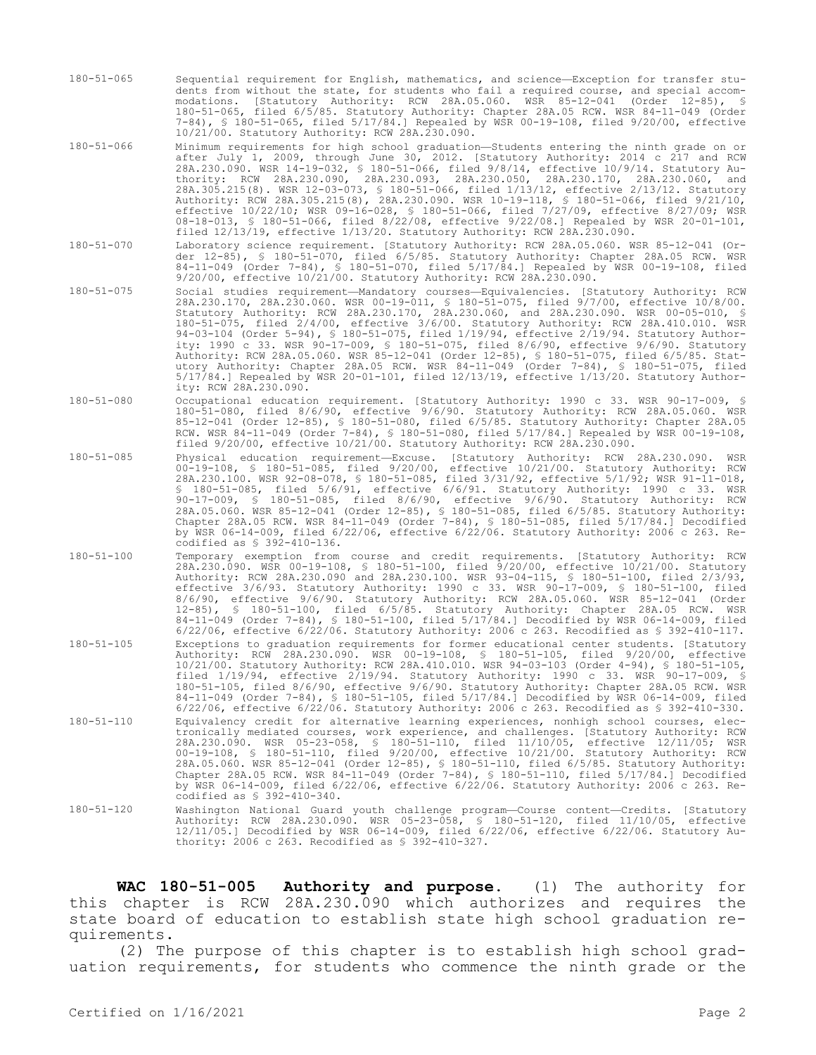- 180-51-065 Sequential requirement for English, mathematics, and science—Exception for transfer students from without the state, for students who fail a required course, and special accommodations. [Statutory Authority: RCW 28A.05.060. WSR 85-12-041 (Order 12-85), § 180-51-065, filed 6/5/85. Statutory Authority: Chapter 28A.05 RCW. WSR 84-11-049 (Order 7-84), § 180-51-065, filed 5/17/84.] Repealed by WSR 00-19-108, filed 9/20/00, effective 10/21/00. Statutory Authority: RCW 28A.230.090.
- 180-51-066 Minimum requirements for high school graduation—Students entering the ninth grade on or after July 1, 2009, through June 30, 2012. [Statutory Authority: 2014 c 217 and RCW 28A.230.090. WSR 14-19-032, § 180-51-066, filed 9/8/14, effective 10/9/14. Statutory Authority: RCW 28A.230.090, 28A.230.093, 28A.230.050, 28A.230.170, 28A.230.060, and 28A.305.215(8). WSR 12-03-073, § 180-51-066, filed 1/13/12, effective 2/13/12. Statutory Authority: RCW 28A.305.215(8), 28A.230.090. WSR 10-19-118, § 180-51-066, filed 9/21/10, effective 10/22/10; WSR 09-16-028, § 180-51-066, filed 7/27/09, effective 8/27/09; WSR 08-18-013, § 180-51-066, filed 8/22/08, effective 9/22/08.] Repealed by WSR 20-01-101, filed 12/13/19, effective 1/13/20. Statutory Authority: RCW 28A.230.090.
- 180-51-070 Laboratory science requirement. [Statutory Authority: RCW 28A.05.060. WSR 85-12-041 (Order 12-85), § 180-51-070, filed 6/5/85. Statutory Authority: Chapter 28A.05 RCW. WSR 84-11-049 (Order 7-84), § 180-51-070, filed 5/17/84.] Repealed by WSR 00-19-108, filed 9/20/00, effective 10/21/00. Statutory Authority: RCW 28A.230.090.
- 180-51-075 Social studies requirement—Mandatory courses—Equivalencies. [Statutory Authority: RCW 28A.230.170, 28A.230.060. WSR 00-19-011, § 180-51-075, filed 9/7/00, effective 10/8/00. Statutory Authority: RCW 28A.230.170, 28A.230.060, and 28A.230.090. WSR 00-05-010, § 180-51-075, filed 2/4/00, effective 3/6/00. Statutory Authority: RCW 28A.410.010. WSR 94-03-104 (Order 5-94), § 180-51-075, filed 1/19/94, effective 2/19/94. Statutory Authority: 1990 c 33. WSR 90-17-009, § 180-51-075, filed 8/6/90, effective 9/6/90. Statutory Authority: RCW 28A.05.060. WSR 85-12-041 (Order 12-85), § 180-51-075, filed 6/5/85. Statutory Authority: Chapter 28A.05 RCW. WSR 84-11-049 (Order 7-84), § 180-51-075, filed 5/17/84.] Repealed by WSR 20-01-101, filed 12/13/19, effective 1/13/20. Statutory Authority: RCW 28A.230.090.
- 180-51-080 Occupational education requirement. [Statutory Authority: 1990 c 33. WSR 90-17-009, § 180-51-080, filed 8/6/90, effective 9/6/90. Statutory Authority: RCW 28A.05.060. WSR 85-12-041 (Order 12-85), § 180-51-080, filed 6/5/85. Statutory Authority: Chapter 28A.05 RCW. WSR 84-11-049 (Order 7-84), § 180-51-080, filed 5/17/84.] Repealed by WSR 00-19-108, filed 9/20/00, effective 10/21/00. Statutory Authority: RCW 28A.230.090.
- 180-51-085 Physical education requirement—Excuse. [Statutory Authority: RCW 28A.230.090. WSR 00-19-108, § 180-51-085, filed 9/20/00, effective 10/21/00. Statutory Authority: RCW 28A.230.100. WSR 92-08-078, § 180-51-085, filed 3/31/92, effective 5/1/92; WSR 91-11-018, § 180-51-085, filed 5/6/91, effective 6/6/91. Statutory Authority: 1990 c 33. WSR 90-17-009, § 180-51-085, filed 8/6/90, effective 9/6/90. Statutory Authority: RCW 28A.05.060. WSR 85-12-041 (Order 12-85), § 180-51-085, filed 6/5/85. Statutory Authority: Chapter 28A.05 RCW. WSR 84-11-049 (Order 7-84), § 180-51-085, filed 5/17/84.] Decodified by WSR 06-14-009, filed 6/22/06, effective 6/22/06. Statutory Authority: 2006 c 263. Recodified as § 392-410-136.
- 180-51-100 Temporary exemption from course and credit requirements. [Statutory Authority: RCW 28A.230.090. WSR 00-19-108, § 180-51-100, filed 9/20/00, effective 10/21/00. Statutory Authority: RCW 28A.230.090 and 28A.230.100. WSR 93-04-115, § 180-51-100, filed 2/3/93, effective 3/6/93. Statutory Authority: 1990 c 33. WSR 90-17-009, § 180-51-100, filed 8/6/90, effective 9/6/90. Statutory Authority: RCW 28A.05.060. WSR 85-12-041 (Order 12-85), § 180-51-100, filed 6/5/85. Statutory Authority: Chapter 28A.05 RCW. WSR 84-11-049 (Order 7-84), § 180-51-100, filed 5/17/84.] Decodified by WSR 06-14-009, filed 6/22/06, effective 6/22/06. Statutory Authority: 2006 c 263. Recodified as § 392-410-117. 180-51-105 Exceptions to graduation requirements for former educational center students. [Statutory Authority: RCW 28A.230.090. WSR 00-19-108, § 180-51-105, filed 9/20/00, effective 10/21/00. Statutory Authority: RCW 28A.410.010. WSR 94-03-103 (Order 4-94), § 180-51-105, filed 1/19/94, effective 2/19/94. Statutory Authority: 1990 c 33. WSR 90-17-009, § 180-51-105, filed 8/6/90, effective 9/6/90. Statutory Authority: Chapter 28A.05 RCW. WSR 84-11-049 (Order 7-84), § 180-51-105, filed 5/17/84.] Decodified by WSR 06-14-009, filed 6/22/06, effective 6/22/06. Statutory Authority: 2006 c 263. Recodified as § 392-410-330. 180-51-110 Equivalency credit for alternative learning experiences, nonhigh school courses, electronically mediated courses, work experience, and challenges. [Statutory Authority: RCW 28A.230.090. WSR 05-23-058, § 180-51-110, filed 11/10/05, effective 12/11/05; WSR 00-19-108, § 180-51-110, filed 9/20/00, effective 10/21/00. Statutory Authority: RCW 28A.05.060. WSR 85-12-041 (Order 12-85), § 180-51-110, filed 6/5/85. Statutory Authority: Chapter 28A.05 RCW. WSR 84-11-049 (Order 7-84), § 180-51-110, filed 5/17/84.] Decodified by WSR 06-14-009, filed 6/22/06, effective 6/22/06. Statutory Authority: 2006 c 263. Recodified as § 392-410-340.
- 180-51-120 Washington National Guard youth challenge program—Course content—Credits. [Statutory Authority: RCW 28A.230.090. WSR 05-23-058, § 180-51-120, filed 11/10/05, effective 12/11/05.] Decodified by WSR 06-14-009, filed 6/22/06, effective 6/22/06. Statutory Authority: 2006 c 263. Recodified as § 392-410-327.

**WAC 180-51-005 Authority and purpose.** (1) The authority for this chapter is RCW 28A.230.090 which authorizes and requires the state board of education to establish state high school graduation requirements.

(2) The purpose of this chapter is to establish high school graduation requirements, for students who commence the ninth grade or the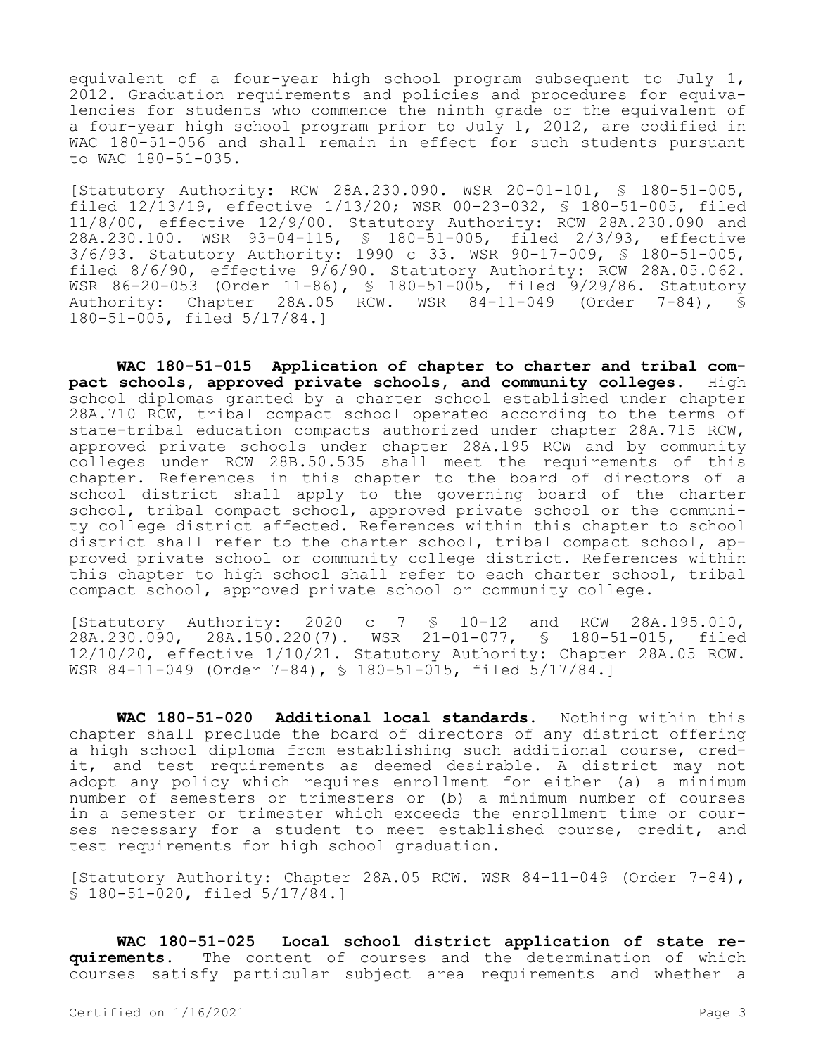equivalent of a four-year high school program subsequent to July 1, 2012. Graduation requirements and policies and procedures for equivalencies for students who commence the ninth grade or the equivalent of a four-year high school program prior to July 1, 2012, are codified in WAC 180-51-056 and shall remain in effect for such students pursuant to WAC 180-51-035.

[Statutory Authority: RCW 28A.230.090. WSR 20-01-101, § 180-51-005, filed 12/13/19, effective 1/13/20; WSR 00-23-032, § 180-51-005, filed 11/8/00, effective 12/9/00. Statutory Authority: RCW 28A.230.090 and 28A.230.100. WSR 93-04-115, § 180-51-005, filed 2/3/93, effective 3/6/93. Statutory Authority: 1990 c 33. WSR 90-17-009, § 180-51-005, filed 8/6/90, effective 9/6/90. Statutory Authority: RCW 28A.05.062. WSR 86-20-053 (Order 11-86), § 180-51-005, filed 9/29/86. Statutory Authority: Chapter 28A.05 RCW. WSR 84-11-049 (Order 7-84), § 180-51-005, filed 5/17/84.]

**WAC 180-51-015 Application of chapter to charter and tribal compact schools, approved private schools, and community colleges.** High school diplomas granted by a charter school established under chapter 28A.710 RCW, tribal compact school operated according to the terms of state-tribal education compacts authorized under chapter 28A.715 RCW, approved private schools under chapter 28A.195 RCW and by community colleges under RCW 28B.50.535 shall meet the requirements of this chapter. References in this chapter to the board of directors of a school district shall apply to the governing board of the charter school, tribal compact school, approved private school or the community college district affected. References within this chapter to school district shall refer to the charter school, tribal compact school, approved private school or community college district. References within this chapter to high school shall refer to each charter school, tribal compact school, approved private school or community college.

[Statutory Authority: 2020 c 7 § 10-12 and RCW 28A.195.010, 28A.230.090, 28A.150.220(7). WSR 21-01-077, § 180-51-015, filed 12/10/20, effective 1/10/21. Statutory Authority: Chapter 28A.05 RCW. WSR 84-11-049 (Order 7-84), § 180-51-015, filed 5/17/84.]

**WAC 180-51-020 Additional local standards.** Nothing within this chapter shall preclude the board of directors of any district offering a high school diploma from establishing such additional course, credit, and test requirements as deemed desirable. A district may not adopt any policy which requires enrollment for either (a) a minimum number of semesters or trimesters or (b) a minimum number of courses in a semester or trimester which exceeds the enrollment time or courses necessary for a student to meet established course, credit, and test requirements for high school graduation.

[Statutory Authority: Chapter 28A.05 RCW. WSR 84-11-049 (Order 7-84), § 180-51-020, filed 5/17/84.]

**WAC 180-51-025 Local school district application of state requirements.** The content of courses and the determination of which courses satisfy particular subject area requirements and whether a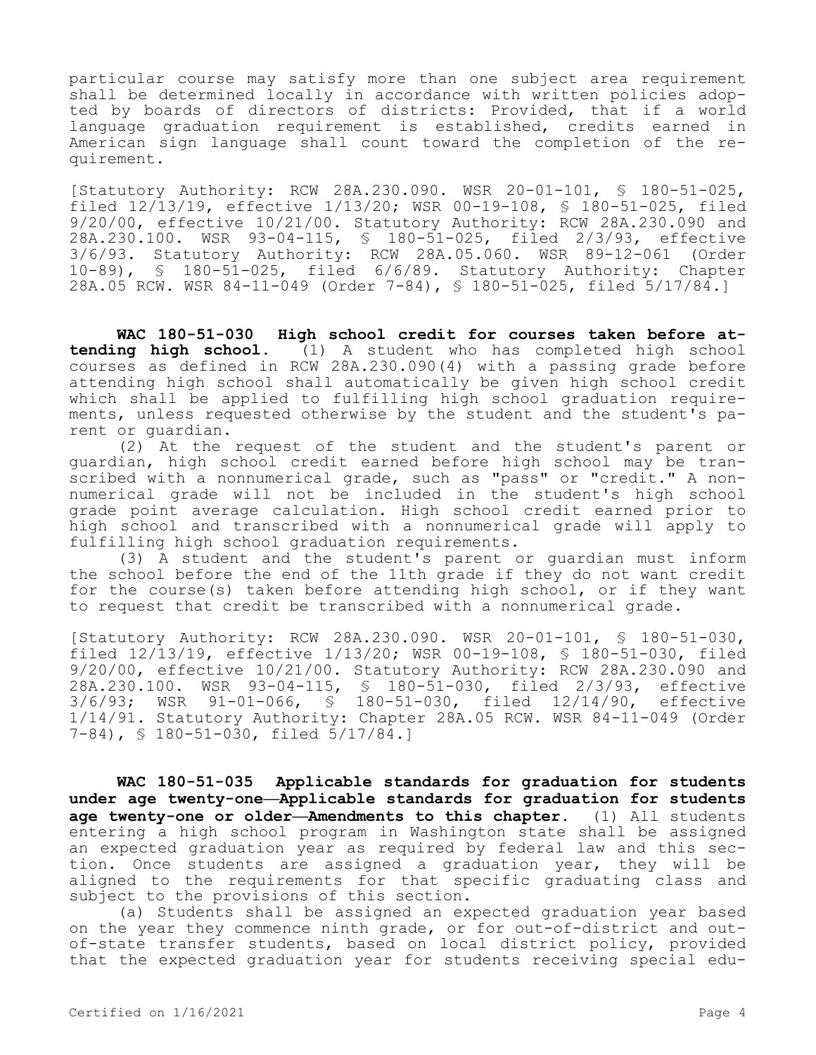particular course may satisfy more than one subject area requirement shall be determined locally in accordance with written policies adopted by boards of directors of districts: Provided, that if a world language graduation requirement is established, credits earned in American sign language shall count toward the completion of the requirement.

[Statutory Authority: RCW 28A.230.090. WSR 20-01-101, § 180-51-025, filed 12/13/19, effective 1/13/20; WSR 00-19-108, § 180-51-025, filed 9/20/00, effective 10/21/00. Statutory Authority: RCW 28A.230.090 and 28A.230.100. WSR 93-04-115, § 180-51-025, filed 2/3/93, effective 3/6/93. Statutory Authority: RCW 28A.05.060. WSR 89-12-061 (Order 10-89), § 180-51-025, filed 6/6/89. Statutory Authority: Chapter 28A.05 RCW. WSR 84-11-049 (Order 7-84), § 180-51-025, filed 5/17/84.]

**WAC 180-51-030 High school credit for courses taken before attending high school.** (1) A student who has completed high school courses as defined in RCW 28A.230.090(4) with a passing grade before attending high school shall automatically be given high school credit which shall be applied to fulfilling high school graduation requirements, unless requested otherwise by the student and the student's parent or guardian.

(2) At the request of the student and the student's parent or guardian, high school credit earned before high school may be transcribed with a nonnumerical grade, such as "pass" or "credit." A nonnumerical grade will not be included in the student's high school grade point average calculation. High school credit earned prior to high school and transcribed with a nonnumerical grade will apply to fulfilling high school graduation requirements.

(3) A student and the student's parent or guardian must inform the school before the end of the 11th grade if they do not want credit for the course(s) taken before attending high school, or if they want to request that credit be transcribed with a nonnumerical grade.

[Statutory Authority: RCW 28A.230.090. WSR 20-01-101, § 180-51-030, filed 12/13/19, effective 1/13/20; WSR 00-19-108, § 180-51-030, filed 9/20/00, effective 10/21/00. Statutory Authority: RCW 28A.230.090 and 28A.230.100. WSR 93-04-115, § 180-51-030, filed 2/3/93, effective  $3/6/93$ ; WSR 91-01-066, § 180-51-030, filed 12/14/90, 1/14/91. Statutory Authority: Chapter 28A.05 RCW. WSR 84-11-049 (Order 7-84), § 180-51-030, filed 5/17/84.]

**WAC 180-51-035 Applicable standards for graduation for students under age twenty-one—Applicable standards for graduation for students age twenty-one or older—Amendments to this chapter.** (1) All students entering a high school program in Washington state shall be assigned an expected graduation year as required by federal law and this section. Once students are assigned a graduation year, they will be aligned to the requirements for that specific graduating class and subject to the provisions of this section.

(a) Students shall be assigned an expected graduation year based on the year they commence ninth grade, or for out-of-district and outof-state transfer students, based on local district policy, provided that the expected graduation year for students receiving special edu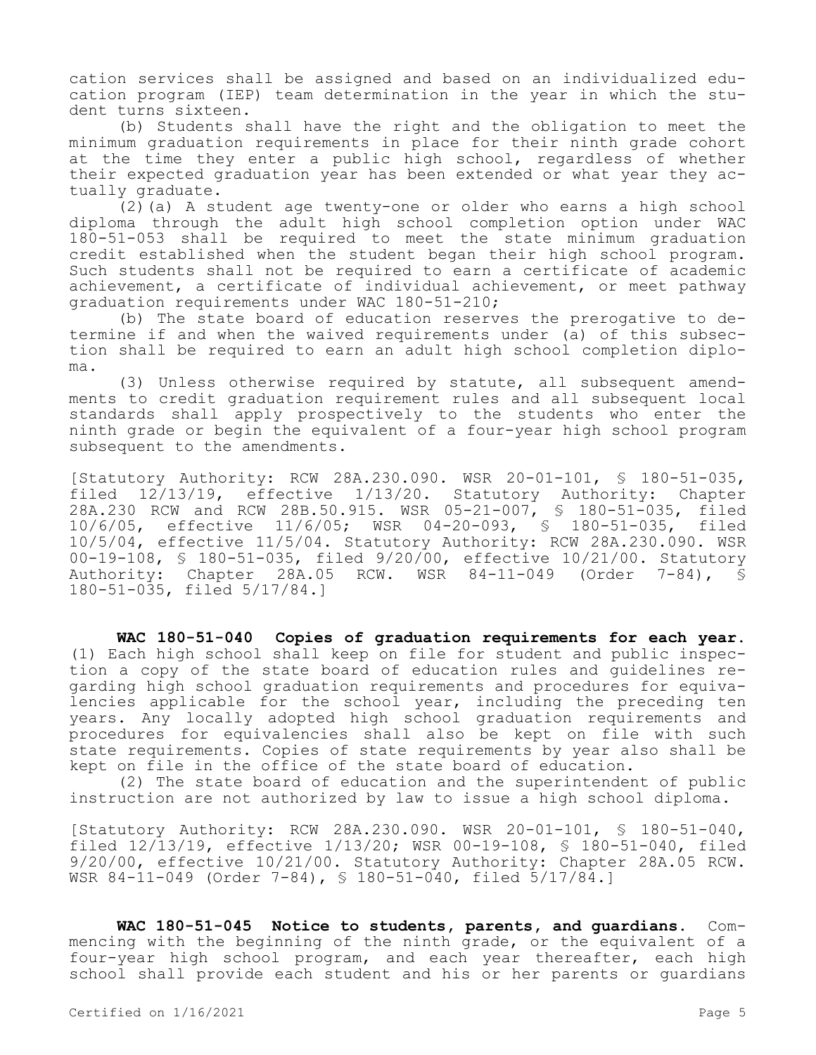cation services shall be assigned and based on an individualized education program (IEP) team determination in the year in which the student turns sixteen.

(b) Students shall have the right and the obligation to meet the minimum graduation requirements in place for their ninth grade cohort at the time they enter a public high school, regardless of whether their expected graduation year has been extended or what year they actually graduate.

(2)(a) A student age twenty-one or older who earns a high school diploma through the adult high school completion option under WAC 180-51-053 shall be required to meet the state minimum graduation credit established when the student began their high school program. Such students shall not be required to earn a certificate of academic achievement, a certificate of individual achievement, or meet pathway graduation requirements under WAC 180-51-210;

(b) The state board of education reserves the prerogative to determine if and when the waived requirements under (a) of this subsection shall be required to earn an adult high school completion diploma.

(3) Unless otherwise required by statute, all subsequent amendments to credit graduation requirement rules and all subsequent local standards shall apply prospectively to the students who enter the ninth grade or begin the equivalent of a four-year high school program subsequent to the amendments.

[Statutory Authority: RCW 28A.230.090. WSR 20-01-101, § 180-51-035, filed 12/13/19, effective 1/13/20. Statutory Authority: Chapter 28A.230 RCW and RCW 28B.50.915. WSR 05-21-007, § 180-51-035, filed 10/6/05, effective 11/6/05; WSR 04-20-093, § 180-51-035, filed 10/5/04, effective 11/5/04. Statutory Authority: RCW 28A.230.090. WSR 00-19-108, § 180-51-035, filed 9/20/00, effective 10/21/00. Statutory Authority: Chapter 28A.05 RCW. WSR 84-11-049 (Order 7-84), § 180-51-035, filed 5/17/84.]

**WAC 180-51-040 Copies of graduation requirements for each year.**  (1) Each high school shall keep on file for student and public inspection a copy of the state board of education rules and guidelines regarding high school graduation requirements and procedures for equivalencies applicable for the school year, including the preceding ten years. Any locally adopted high school graduation requirements and procedures for equivalencies shall also be kept on file with such state requirements. Copies of state requirements by year also shall be kept on file in the office of the state board of education.

(2) The state board of education and the superintendent of public instruction are not authorized by law to issue a high school diploma.

[Statutory Authority: RCW 28A.230.090. WSR 20-01-101, § 180-51-040, filed 12/13/19, effective 1/13/20; WSR 00-19-108, § 180-51-040, filed 9/20/00, effective 10/21/00. Statutory Authority: Chapter 28A.05 RCW. WSR 84-11-049 (Order 7-84), § 180-51-040, filed 5/17/84.]

**WAC 180-51-045 Notice to students, parents, and guardians.** Commencing with the beginning of the ninth grade, or the equivalent of a four-year high school program, and each year thereafter, each high school shall provide each student and his or her parents or guardians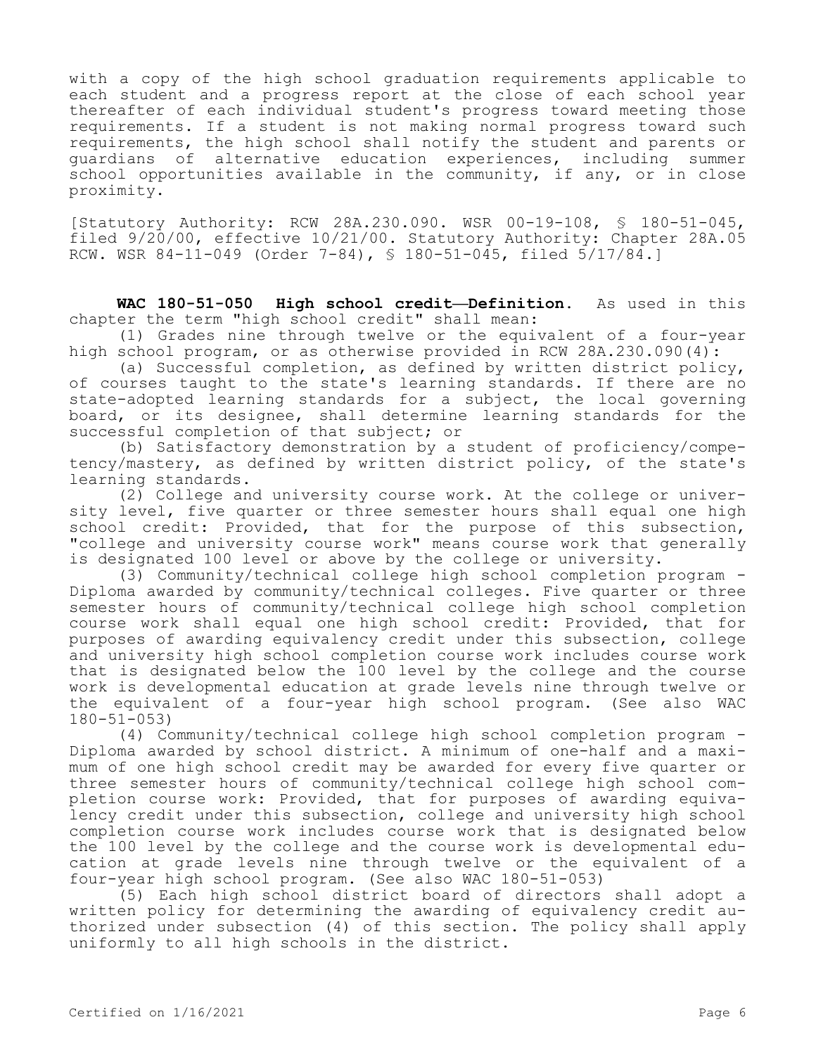with a copy of the high school graduation requirements applicable to each student and a progress report at the close of each school year thereafter of each individual student's progress toward meeting those requirements. If a student is not making normal progress toward such requirements, the high school shall notify the student and parents or guardians of alternative education experiences, including summer school opportunities available in the community, if any, or in close proximity.

[Statutory Authority: RCW 28A.230.090. WSR 00-19-108, § 180-51-045, filed 9/20/00, effective 10/21/00. Statutory Authority: Chapter 28A.05 RCW. WSR 84-11-049 (Order 7-84), § 180-51-045, filed 5/17/84.]

**WAC 180-51-050 High school credit—Definition.** As used in this chapter the term "high school credit" shall mean:

(1) Grades nine through twelve or the equivalent of a four-year high school program, or as otherwise provided in RCW 28A.230.090(4):

(a) Successful completion, as defined by written district policy, of courses taught to the state's learning standards. If there are no state-adopted learning standards for a subject, the local governing board, or its designee, shall determine learning standards for the successful completion of that subject; or

(b) Satisfactory demonstration by a student of proficiency/competency/mastery, as defined by written district policy, of the state's learning standards.

(2) College and university course work. At the college or university level, five quarter or three semester hours shall equal one high school credit: Provided, that for the purpose of this subsection, "college and university course work" means course work that generally is designated 100 level or above by the college or university.

(3) Community/technical college high school completion program - Diploma awarded by community/technical colleges. Five quarter or three semester hours of community/technical college high school completion course work shall equal one high school credit: Provided, that for purposes of awarding equivalency credit under this subsection, college and university high school completion course work includes course work that is designated below the 100 level by the college and the course work is developmental education at grade levels nine through twelve or the equivalent of a four-year high school program. (See also WAC 180-51-053)

(4) Community/technical college high school completion program - Diploma awarded by school district. A minimum of one-half and a maximum of one high school credit may be awarded for every five quarter or three semester hours of community/technical college high school completion course work: Provided, that for purposes of awarding equivalency credit under this subsection, college and university high school completion course work includes course work that is designated below the 100 level by the college and the course work is developmental education at grade levels nine through twelve or the equivalent of a four-year high school program. (See also WAC 180-51-053)

(5) Each high school district board of directors shall adopt a written policy for determining the awarding of equivalency credit authorized under subsection (4) of this section. The policy shall apply uniformly to all high schools in the district.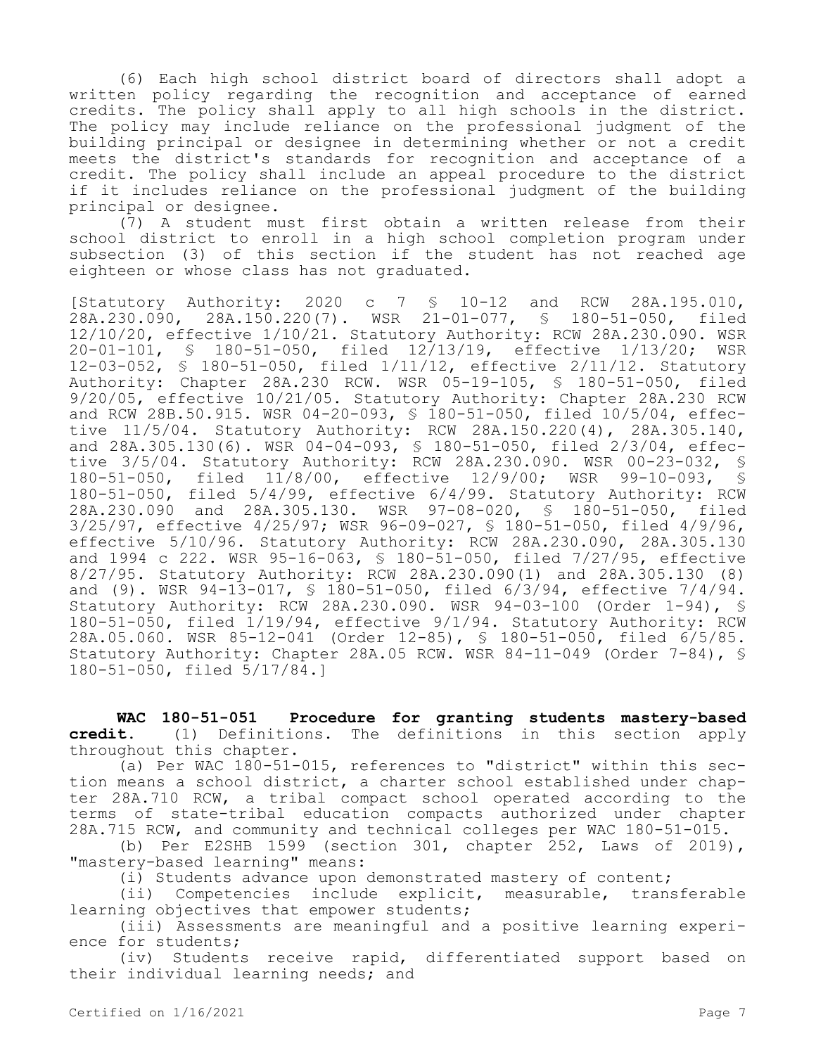(6) Each high school district board of directors shall adopt a written policy regarding the recognition and acceptance of earned credits. The policy shall apply to all high schools in the district. The policy may include reliance on the professional judgment of the building principal or designee in determining whether or not a credit meets the district's standards for recognition and acceptance of a credit. The policy shall include an appeal procedure to the district if it includes reliance on the professional judgment of the building principal or designee.

(7) A student must first obtain a written release from their school district to enroll in a high school completion program under subsection (3) of this section if the student has not reached age eighteen or whose class has not graduated.

[Statutory Authority: 2020 c 7 § 10-12 and RCW 28A.195.010, 28A.230.090, 28A.150.220(7). WSR 21-01-077, § 180-51-050, filed 12/10/20, effective 1/10/21. Statutory Authority: RCW 28A.230.090. WSR 20-01-101, § 180-51-050, filed  $12/13/19$ , effective  $1/13/20$ ; 12-03-052, § 180-51-050, filed 1/11/12, effective 2/11/12. Statutory Authority: Chapter 28A.230 RCW. WSR 05-19-105, § 180-51-050, filed 9/20/05, effective 10/21/05. Statutory Authority: Chapter 28A.230 RCW and RCW 28B.50.915. WSR 04-20-093, § 180-51-050, filed 10/5/04, effective 11/5/04. Statutory Authority: RCW 28A.150.220(4), 28A.305.140, and  $28A.305.130(6)$ . WSR  $04-04-093$ ,  $\frac{1}{5}$  180-51-050, filed  $2/3/04$ , effective 3/5/04. Statutory Authority: RCW 28A.230.090. WSR 00-23-032, \$<br>180-51-050. filed 11/8/00. effective 12/9/00: WSR 99-10-093. \$ 180-51-050, filed 11/8/00, effective 12/9/00; WSR 99-10-093, § 180-51-050, filed 5/4/99, effective 6/4/99. Statutory Authority: RCW 28A.230.090 and 28A.305.130. WSR 97-08-020, § 180-51-050, filed 3/25/97, effective 4/25/97; WSR 96-09-027, § 180-51-050, filed 4/9/96, effective 5/10/96. Statutory Authority: RCW 28A.230.090, 28A.305.130 and 1994 c 222. WSR 95-16-063, § 180-51-050, filed 7/27/95, effective 8/27/95. Statutory Authority: RCW 28A.230.090(1) and 28A.305.130 (8) and (9). WSR 94-13-017, § 180-51-050, filed 6/3/94, effective 7/4/94. Statutory Authority: RCW 28A.230.090. WSR 94-03-100 (Order 1-94), § 180-51-050, filed 1/19/94, effective 9/1/94. Statutory Authority: RCW 28A.05.060. WSR 85-12-041 (Order 12-85), § 180-51-050, filed 6/5/85. Statutory Authority: Chapter 28A.05 RCW. WSR 84-11-049 (Order 7-84), § 180-51-050, filed 5/17/84.]

**WAC 180-51-051 Procedure for granting students mastery-based credit.** (1) Definitions. The definitions in this section apply throughout this chapter.

(a) Per WAC 180-51-015, references to "district" within this section means a school district, a charter school established under chapter 28A.710 RCW, a tribal compact school operated according to the terms of state-tribal education compacts authorized under chapter 28A.715 RCW, and community and technical colleges per WAC 180-51-015.

(b) Per E2SHB 1599 (section 301, chapter 252, Laws of 2019), "mastery-based learning" means:

(i) Students advance upon demonstrated mastery of content;

(ii) Competencies include explicit, measurable, transferable learning objectives that empower students;

(iii) Assessments are meaningful and a positive learning experience for students;

(iv) Students receive rapid, differentiated support based on their individual learning needs; and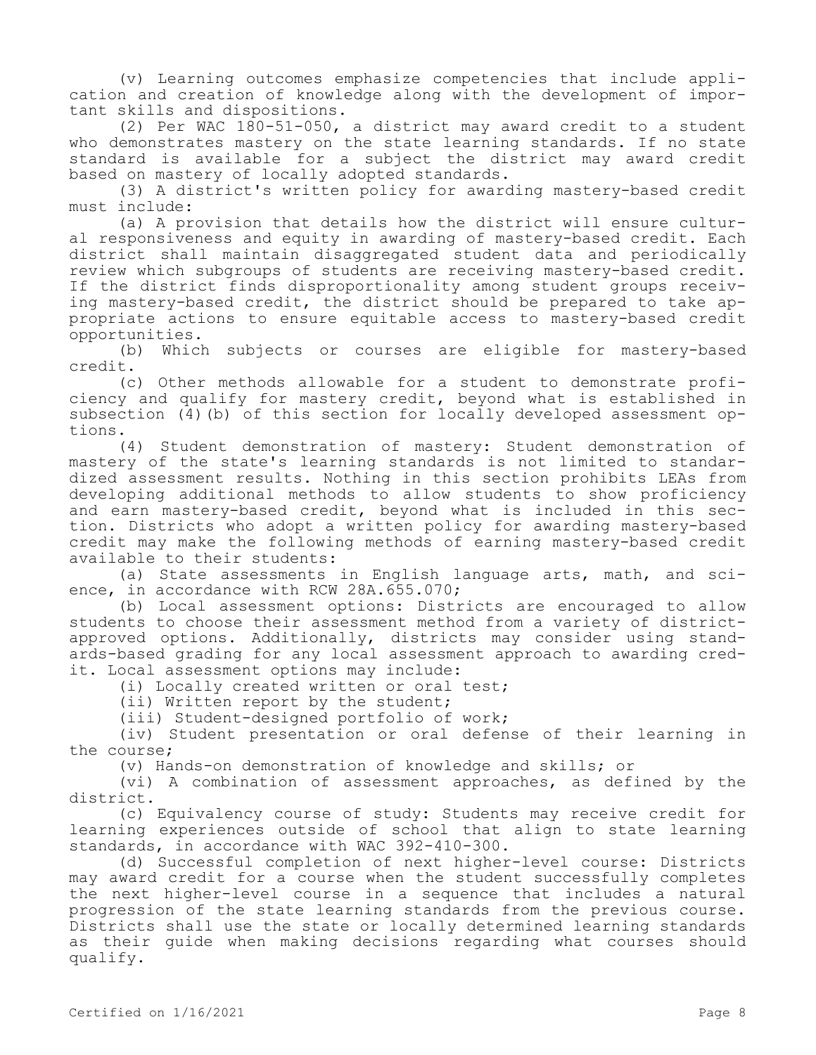(v) Learning outcomes emphasize competencies that include application and creation of knowledge along with the development of important skills and dispositions.

(2) Per WAC 180-51-050, a district may award credit to a student who demonstrates mastery on the state learning standards. If no state standard is available for a subject the district may award credit based on mastery of locally adopted standards.

(3) A district's written policy for awarding mastery-based credit must include:

(a) A provision that details how the district will ensure cultural responsiveness and equity in awarding of mastery-based credit. Each district shall maintain disaggregated student data and periodically review which subgroups of students are receiving mastery-based credit. If the district finds disproportionality among student groups receiving mastery-based credit, the district should be prepared to take appropriate actions to ensure equitable access to mastery-based credit opportunities.

(b) Which subjects or courses are eligible for mastery-based credit.

(c) Other methods allowable for a student to demonstrate proficiency and qualify for mastery credit, beyond what is established in subsection (4)(b) of this section for locally developed assessment options.

(4) Student demonstration of mastery: Student demonstration of mastery of the state's learning standards is not limited to standardized assessment results. Nothing in this section prohibits LEAs from developing additional methods to allow students to show proficiency and earn mastery-based credit, beyond what is included in this section. Districts who adopt a written policy for awarding mastery-based credit may make the following methods of earning mastery-based credit available to their students:

(a) State assessments in English language arts, math, and science, in accordance with RCW 28A.655.070;

(b) Local assessment options: Districts are encouraged to allow students to choose their assessment method from a variety of districtapproved options. Additionally, districts may consider using standards-based grading for any local assessment approach to awarding credit. Local assessment options may include:

(i) Locally created written or oral test;

(ii) Written report by the student;

(iii) Student-designed portfolio of work;

(iv) Student presentation or oral defense of their learning in the course;

(v) Hands-on demonstration of knowledge and skills; or

(vi) A combination of assessment approaches, as defined by the district.

(c) Equivalency course of study: Students may receive credit for learning experiences outside of school that align to state learning standards, in accordance with WAC 392-410-300.

(d) Successful completion of next higher-level course: Districts may award credit for a course when the student successfully completes the next higher-level course in a sequence that includes a natural progression of the state learning standards from the previous course. Districts shall use the state or locally determined learning standards as their guide when making decisions regarding what courses should qualify.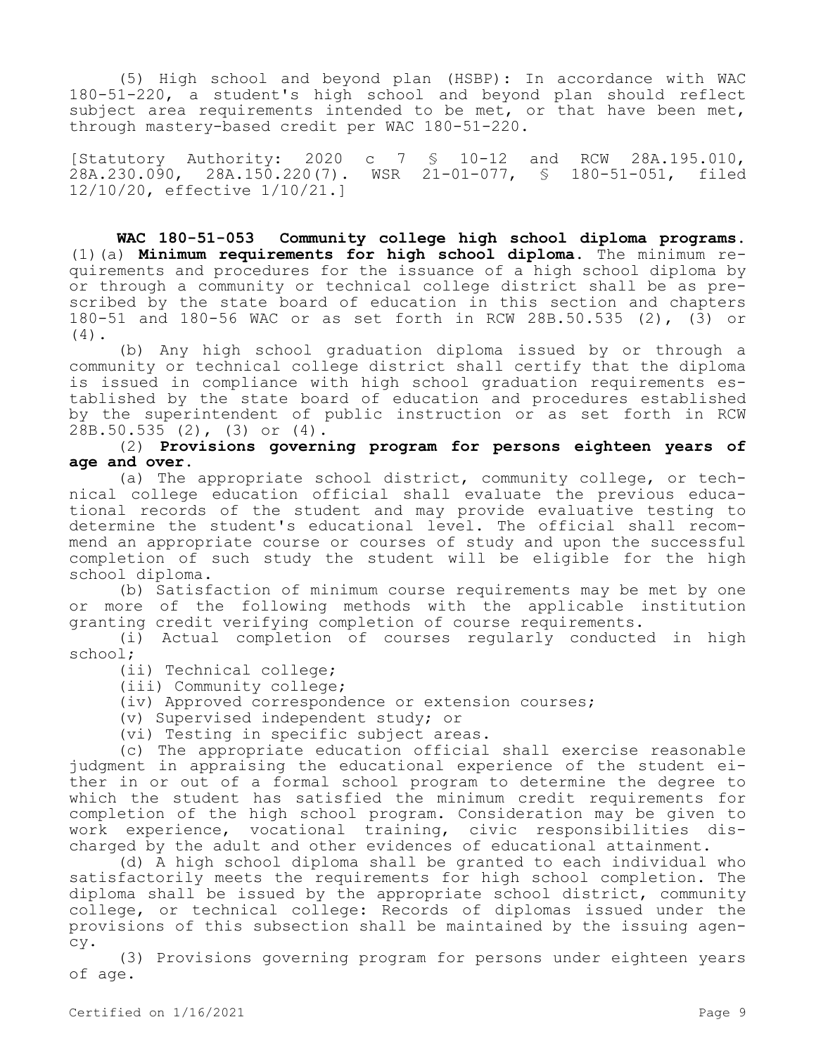(5) High school and beyond plan (HSBP): In accordance with WAC 180-51-220, a student's high school and beyond plan should reflect subject area requirements intended to be met, or that have been met, through mastery-based credit per WAC 180-51-220.

[Statutory Authority: 2020 c 7 § 10-12 and RCW 28A.195.010, 28A.230.090, 28A.150.220(7). WSR 21-01-077, § 180-51-051, filed 12/10/20, effective 1/10/21.]

**WAC 180-51-053 Community college high school diploma programs.**  (1)(a) **Minimum requirements for high school diploma.** The minimum requirements and procedures for the issuance of a high school diploma by or through a community or technical college district shall be as prescribed by the state board of education in this section and chapters 180-51 and 180-56 WAC or as set forth in RCW 28B.50.535 (2), (3) or (4).

(b) Any high school graduation diploma issued by or through a community or technical college district shall certify that the diploma is issued in compliance with high school graduation requirements established by the state board of education and procedures established by the superintendent of public instruction or as set forth in RCW 28B.50.535 (2), (3) or (4).

(2) **Provisions governing program for persons eighteen years of age and over.**

(a) The appropriate school district, community college, or technical college education official shall evaluate the previous educational records of the student and may provide evaluative testing to determine the student's educational level. The official shall recommend an appropriate course or courses of study and upon the successful completion of such study the student will be eligible for the high school diploma.

(b) Satisfaction of minimum course requirements may be met by one or more of the following methods with the applicable institution granting credit verifying completion of course requirements.

(i) Actual completion of courses regularly conducted in high school;

(ii) Technical college;

(iii) Community college;

(iv) Approved correspondence or extension courses;

(v) Supervised independent study; or

(vi) Testing in specific subject areas.

(c) The appropriate education official shall exercise reasonable judgment in appraising the educational experience of the student either in or out of a formal school program to determine the degree to which the student has satisfied the minimum credit requirements for completion of the high school program. Consideration may be given to work experience, vocational training, civic responsibilities discharged by the adult and other evidences of educational attainment.

(d) A high school diploma shall be granted to each individual who satisfactorily meets the requirements for high school completion. The diploma shall be issued by the appropriate school district, community college, or technical college: Records of diplomas issued under the provisions of this subsection shall be maintained by the issuing agency.

(3) Provisions governing program for persons under eighteen years of age.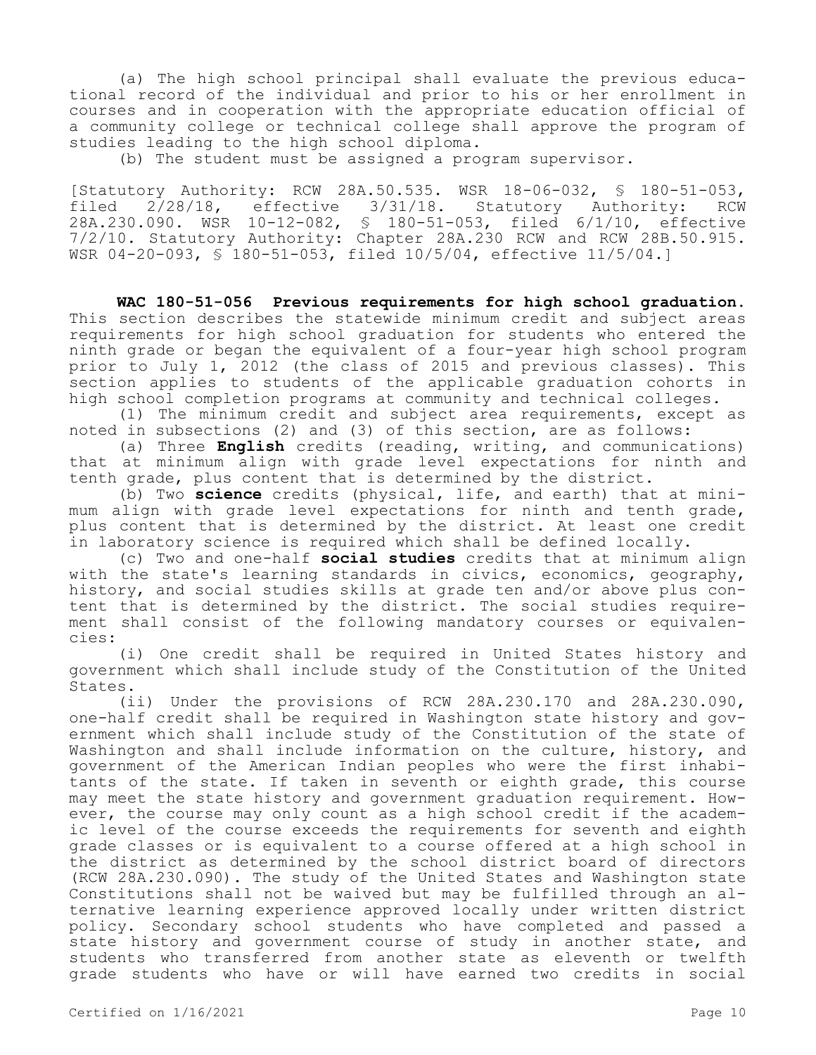(a) The high school principal shall evaluate the previous educational record of the individual and prior to his or her enrollment in courses and in cooperation with the appropriate education official of a community college or technical college shall approve the program of studies leading to the high school diploma.

(b) The student must be assigned a program supervisor.

[Statutory Authority: RCW 28A.50.535. WSR 18-06-032, § 180-51-053, filed 2/28/18, effective 3/31/18. Statutory Authority: RCW 28A.230.090. WSR 10-12-082, § 180-51-053, filed 6/1/10, effective 7/2/10. Statutory Authority: Chapter 28A.230 RCW and RCW 28B.50.915. WSR 04-20-093, § 180-51-053, filed 10/5/04, effective 11/5/04.]

**WAC 180-51-056 Previous requirements for high school graduation.**  This section describes the statewide minimum credit and subject areas requirements for high school graduation for students who entered the ninth grade or began the equivalent of a four-year high school program prior to July 1, 2012 (the class of 2015 and previous classes). This section applies to students of the applicable graduation cohorts in high school completion programs at community and technical colleges.

(1) The minimum credit and subject area requirements, except as noted in subsections (2) and (3) of this section, are as follows:

(a) Three **English** credits (reading, writing, and communications) that at minimum align with grade level expectations for ninth and tenth grade, plus content that is determined by the district.

(b) Two **science** credits (physical, life, and earth) that at minimum align with grade level expectations for ninth and tenth grade, plus content that is determined by the district. At least one credit in laboratory science is required which shall be defined locally.

(c) Two and one-half **social studies** credits that at minimum align with the state's learning standards in civics, economics, geography, history, and social studies skills at grade ten and/or above plus content that is determined by the district. The social studies requirement shall consist of the following mandatory courses or equivalencies:

(i) One credit shall be required in United States history and government which shall include study of the Constitution of the United States.

(ii) Under the provisions of RCW 28A.230.170 and 28A.230.090, one-half credit shall be required in Washington state history and government which shall include study of the Constitution of the state of Washington and shall include information on the culture, history, and government of the American Indian peoples who were the first inhabitants of the state. If taken in seventh or eighth grade, this course may meet the state history and government graduation requirement. However, the course may only count as a high school credit if the academic level of the course exceeds the requirements for seventh and eighth grade classes or is equivalent to a course offered at a high school in the district as determined by the school district board of directors (RCW 28A.230.090). The study of the United States and Washington state Constitutions shall not be waived but may be fulfilled through an alternative learning experience approved locally under written district policy. Secondary school students who have completed and passed a state history and government course of study in another state, and students who transferred from another state as eleventh or twelfth grade students who have or will have earned two credits in social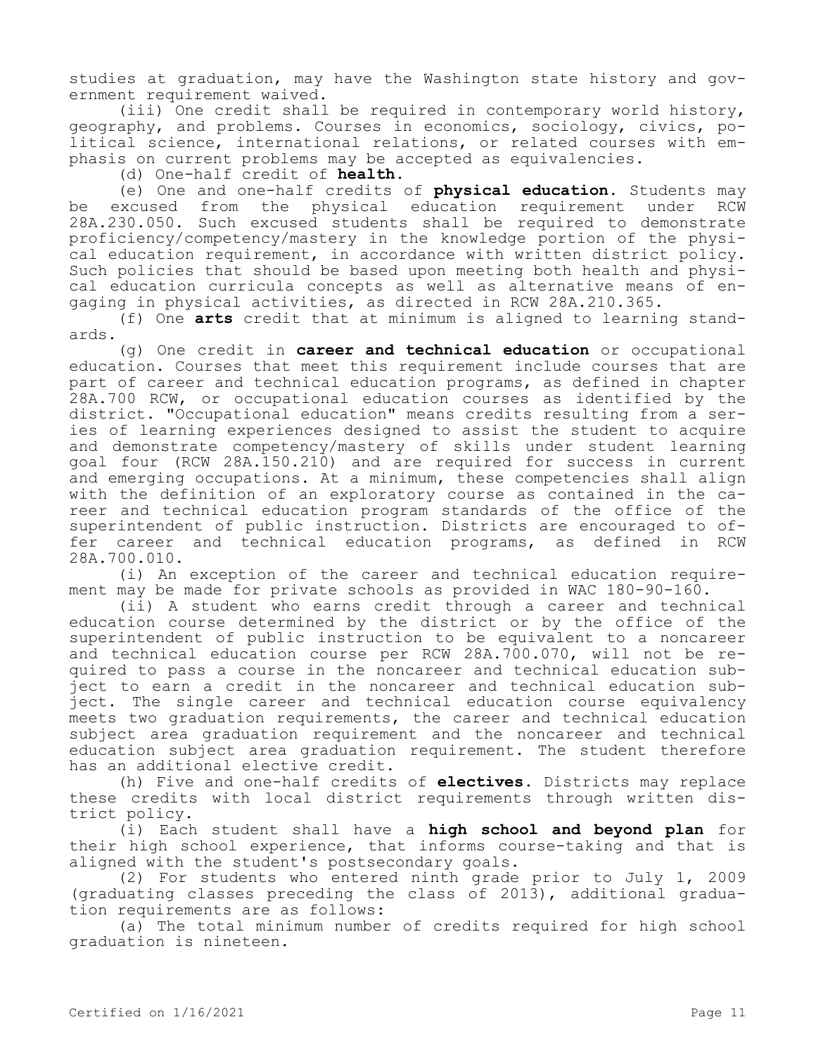studies at graduation, may have the Washington state history and government requirement waived.

(iii) One credit shall be required in contemporary world history, geography, and problems. Courses in economics, sociology, civics, political science, international relations, or related courses with emphasis on current problems may be accepted as equivalencies.

(d) One-half credit of **health**.

(e) One and one-half credits of **physical education**. Students may be excused from the physical education requirement under RCW 28A.230.050. Such excused students shall be required to demonstrate proficiency/competency/mastery in the knowledge portion of the physical education requirement, in accordance with written district policy. Such policies that should be based upon meeting both health and physical education curricula concepts as well as alternative means of engaging in physical activities, as directed in RCW 28A.210.365.

(f) One **arts** credit that at minimum is aligned to learning standards.

(g) One credit in **career and technical education** or occupational education. Courses that meet this requirement include courses that are part of career and technical education programs, as defined in chapter 28A.700 RCW, or occupational education courses as identified by the district. "Occupational education" means credits resulting from a series of learning experiences designed to assist the student to acquire and demonstrate competency/mastery of skills under student learning goal four (RCW 28A.150.210) and are required for success in current and emerging occupations. At a minimum, these competencies shall align with the definition of an exploratory course as contained in the career and technical education program standards of the office of the superintendent of public instruction. Districts are encouraged to offer career and technical education programs, as defined in RCW 28A.700.010.

(i) An exception of the career and technical education requirement may be made for private schools as provided in WAC 180-90-160.

(ii) A student who earns credit through a career and technical education course determined by the district or by the office of the superintendent of public instruction to be equivalent to a noncareer and technical education course per RCW 28A.700.070, will not be required to pass a course in the noncareer and technical education subject to earn a credit in the noncareer and technical education subject. The single career and technical education course equivalency meets two graduation requirements, the career and technical education subject area graduation requirement and the noncareer and technical education subject area graduation requirement. The student therefore has an additional elective credit.

(h) Five and one-half credits of **electives**. Districts may replace these credits with local district requirements through written district policy.

(i) Each student shall have a **high school and beyond plan** for their high school experience, that informs course-taking and that is aligned with the student's postsecondary goals.

(2) For students who entered ninth grade prior to July 1, 2009 (graduating classes preceding the class of 2013), additional graduation requirements are as follows:

(a) The total minimum number of credits required for high school graduation is nineteen.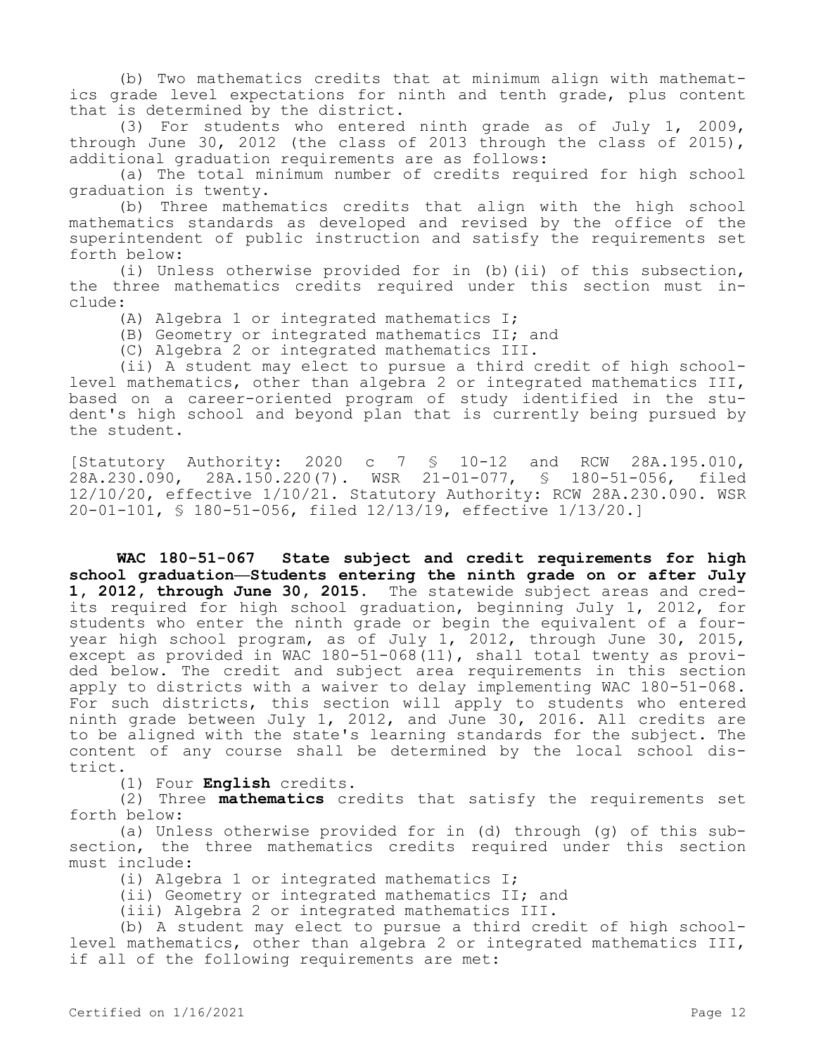(b) Two mathematics credits that at minimum align with mathematics grade level expectations for ninth and tenth grade, plus content that is determined by the district.

(3) For students who entered ninth grade as of July 1, 2009, through June 30, 2012 (the class of 2013 through the class of 2015), additional graduation requirements are as follows:

(a) The total minimum number of credits required for high school graduation is twenty.

(b) Three mathematics credits that align with the high school mathematics standards as developed and revised by the office of the superintendent of public instruction and satisfy the requirements set forth below:

(i) Unless otherwise provided for in (b)(ii) of this subsection, the three mathematics credits required under this section must include:

(A) Algebra 1 or integrated mathematics I;

(B) Geometry or integrated mathematics II; and

(C) Algebra 2 or integrated mathematics III.

(ii) A student may elect to pursue a third credit of high schoollevel mathematics, other than algebra 2 or integrated mathematics III, based on a career-oriented program of study identified in the student's high school and beyond plan that is currently being pursued by the student.

[Statutory Authority: 2020 c 7 § 10-12 and RCW 28A.195.010,  $28A.230.090, 28A.150.220(7)$ . WSR  $21-01-077, S$  180-51-056, filed 12/10/20, effective 1/10/21. Statutory Authority: RCW 28A.230.090. WSR 20-01-101, § 180-51-056, filed 12/13/19, effective 1/13/20.]

**WAC 180-51-067 State subject and credit requirements for high school graduation—Students entering the ninth grade on or after July 1, 2012, through June 30, 2015.** The statewide subject areas and credits required for high school graduation, beginning July 1, 2012, for students who enter the ninth grade or begin the equivalent of a fouryear high school program, as of July 1, 2012, through June 30, 2015, except as provided in WAC 180-51-068(11), shall total twenty as provided below. The credit and subject area requirements in this section apply to districts with a waiver to delay implementing WAC 180-51-068. For such districts, this section will apply to students who entered ninth grade between July 1, 2012, and June 30, 2016. All credits are to be aligned with the state's learning standards for the subject. The content of any course shall be determined by the local school district.

(1) Four **English** credits.

(2) Three **mathematics** credits that satisfy the requirements set forth below:

(a) Unless otherwise provided for in (d) through (g) of this subsection, the three mathematics credits required under this section must include:

(i) Algebra 1 or integrated mathematics I;

(ii) Geometry or integrated mathematics II; and

(iii) Algebra 2 or integrated mathematics III.

(b) A student may elect to pursue a third credit of high schoollevel mathematics, other than algebra 2 or integrated mathematics III, if all of the following requirements are met: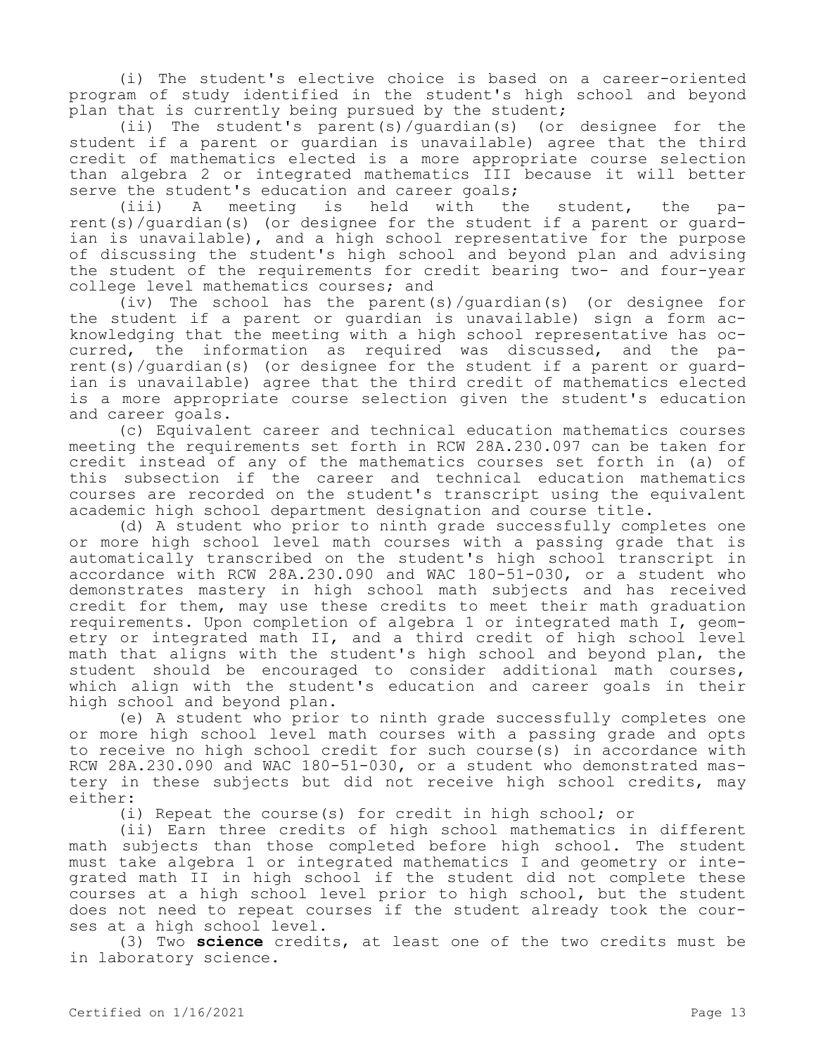(i) The student's elective choice is based on a career-oriented program of study identified in the student's high school and beyond plan that is currently being pursued by the student;

(ii) The student's parent(s)/guardian(s) (or designee for the student if a parent or guardian is unavailable) agree that the third credit of mathematics elected is a more appropriate course selection than algebra 2 or integrated mathematics III because it will better serve the student's education and career goals;<br>(iii) A meeting is held with th

A meeting is held with the student, the parent(s)/guardian(s) (or designee for the student if a parent or guardian is unavailable), and a high school representative for the purpose of discussing the student's high school and beyond plan and advising the student of the requirements for credit bearing two- and four-year college level mathematics courses; and

(iv) The school has the parent(s)/guardian(s) (or designee for the student if a parent or guardian is unavailable) sign a form acknowledging that the meeting with a high school representative has occurred, the information as required was discussed, and the parent(s)/guardian(s) (or designee for the student if a parent or guardian is unavailable) agree that the third credit of mathematics elected is a more appropriate course selection given the student's education and career goals.

(c) Equivalent career and technical education mathematics courses meeting the requirements set forth in RCW 28A.230.097 can be taken for credit instead of any of the mathematics courses set forth in (a) of this subsection if the career and technical education mathematics courses are recorded on the student's transcript using the equivalent academic high school department designation and course title.

(d) A student who prior to ninth grade successfully completes one or more high school level math courses with a passing grade that is automatically transcribed on the student's high school transcript in accordance with RCW 28A.230.090 and WAC 180-51-030, or a student who demonstrates mastery in high school math subjects and has received credit for them, may use these credits to meet their math graduation requirements. Upon completion of algebra 1 or integrated math I, geometry or integrated math II, and a third credit of high school level math that aligns with the student's high school and beyond plan, the student should be encouraged to consider additional math courses, which align with the student's education and career goals in their high school and beyond plan.

(e) A student who prior to ninth grade successfully completes one or more high school level math courses with a passing grade and opts to receive no high school credit for such course(s) in accordance with RCW 28A.230.090 and WAC 180-51-030, or a student who demonstrated mastery in these subjects but did not receive high school credits, may either:

(i) Repeat the course(s) for credit in high school; or

(ii) Earn three credits of high school mathematics in different math subjects than those completed before high school. The student must take algebra 1 or integrated mathematics I and geometry or integrated math II in high school if the student did not complete these courses at a high school level prior to high school, but the student does not need to repeat courses if the student already took the courses at a high school level.

(3) Two **science** credits, at least one of the two credits must be in laboratory science.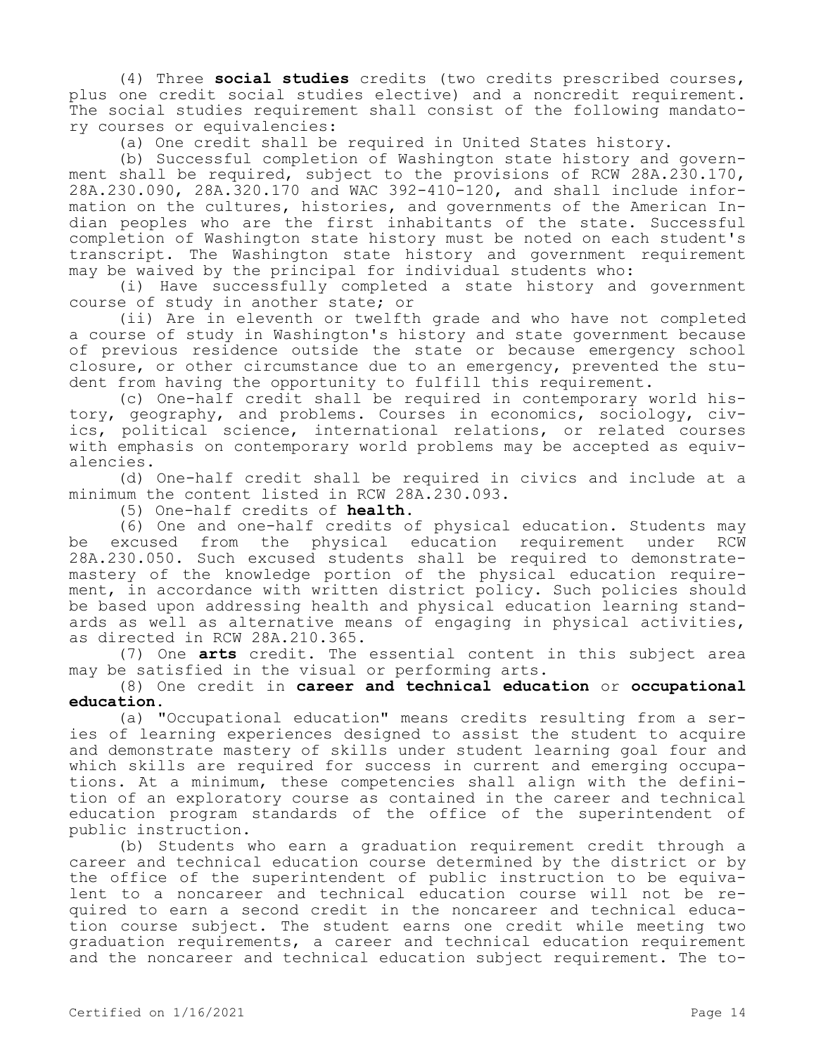(4) Three **social studies** credits (two credits prescribed courses, plus one credit social studies elective) and a noncredit requirement. The social studies requirement shall consist of the following mandatory courses or equivalencies:

(a) One credit shall be required in United States history.

(b) Successful completion of Washington state history and government shall be required, subject to the provisions of RCW 28A.230.170, 28A.230.090, 28A.320.170 and WAC 392-410-120, and shall include information on the cultures, histories, and governments of the American Indian peoples who are the first inhabitants of the state. Successful completion of Washington state history must be noted on each student's transcript. The Washington state history and government requirement may be waived by the principal for individual students who:

(i) Have successfully completed a state history and government course of study in another state; or

(ii) Are in eleventh or twelfth grade and who have not completed a course of study in Washington's history and state government because of previous residence outside the state or because emergency school closure, or other circumstance due to an emergency, prevented the student from having the opportunity to fulfill this requirement.

(c) One-half credit shall be required in contemporary world history, geography, and problems. Courses in economics, sociology, civics, political science, international relations, or related courses with emphasis on contemporary world problems may be accepted as equivalencies.

(d) One-half credit shall be required in civics and include at a minimum the content listed in RCW 28A.230.093.

(5) One-half credits of **health**.

(6) One and one-half credits of physical education. Students may be excused from the physical education requirement under RCW 28A.230.050. Such excused students shall be required to demonstratemastery of the knowledge portion of the physical education requirement, in accordance with written district policy. Such policies should be based upon addressing health and physical education learning standards as well as alternative means of engaging in physical activities, as directed in RCW 28A.210.365.

(7) One **arts** credit. The essential content in this subject area may be satisfied in the visual or performing arts.

(8) One credit in **career and technical education** or **occupational education**.

(a) "Occupational education" means credits resulting from a series of learning experiences designed to assist the student to acquire and demonstrate mastery of skills under student learning goal four and which skills are required for success in current and emerging occupations. At a minimum, these competencies shall align with the definition of an exploratory course as contained in the career and technical education program standards of the office of the superintendent of public instruction.

(b) Students who earn a graduation requirement credit through a career and technical education course determined by the district or by the office of the superintendent of public instruction to be equivalent to a noncareer and technical education course will not be required to earn a second credit in the noncareer and technical education course subject. The student earns one credit while meeting two graduation requirements, a career and technical education requirement and the noncareer and technical education subject requirement. The to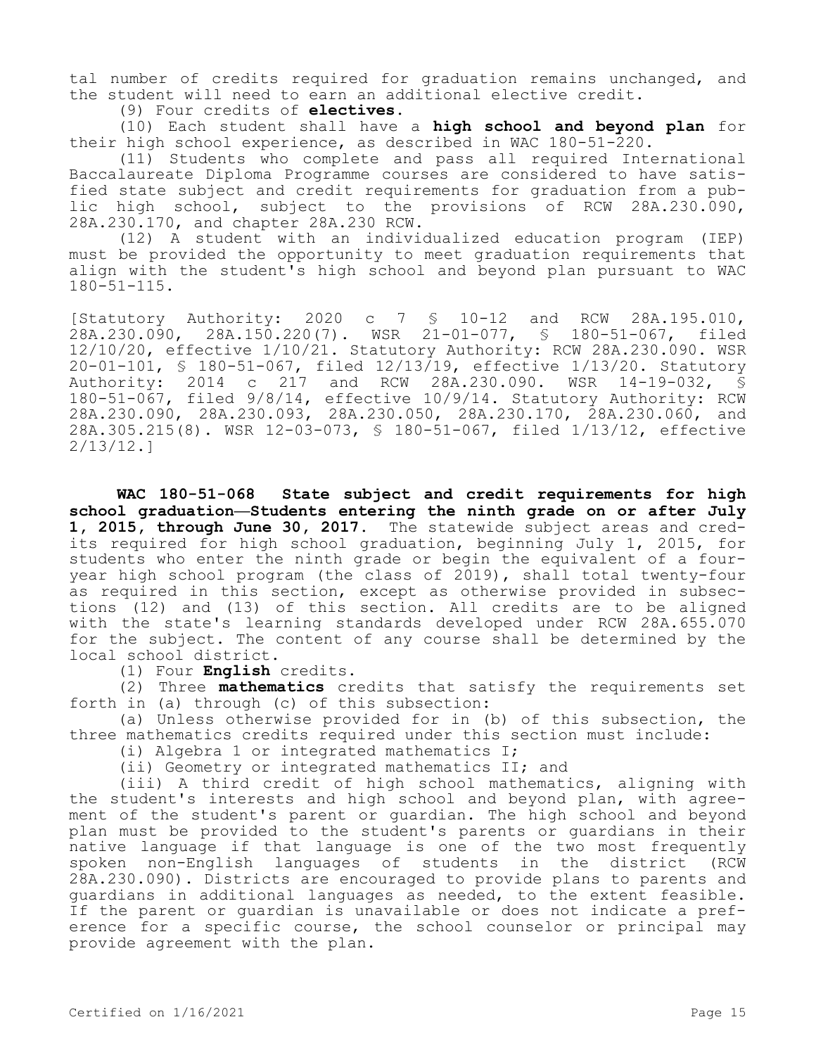tal number of credits required for graduation remains unchanged, and the student will need to earn an additional elective credit.

(9) Four credits of **electives**.

(10) Each student shall have a **high school and beyond plan** for their high school experience, as described in WAC 180-51-220.

(11) Students who complete and pass all required International Baccalaureate Diploma Programme courses are considered to have satisfied state subject and credit requirements for graduation from a public high school, subject to the provisions of RCW 28A.230.090, 28A.230.170, and chapter 28A.230 RCW.

(12) A student with an individualized education program (IEP) must be provided the opportunity to meet graduation requirements that align with the student's high school and beyond plan pursuant to WAC  $180 - 51 - 115$ .

[Statutory Authority: 2020 c 7 § 10-12 and RCW 28A.195.010, 28A.230.090, 28A.150.220(7). WSR 21-01-077, § 180-51-067, filed 12/10/20, effective 1/10/21. Statutory Authority: RCW 28A.230.090. WSR 20-01-101, \$ 180-51-067, filed  $12/13/19$ , effective  $1/13/20$ . Statutory<br>Authority: 2014 c 217 and RCW 28A.230.090. WSR 14-19-032, \$ 2014 c 217 and RCW 28A.230.090. WSR 14-19-032, § 180-51-067, filed 9/8/14, effective 10/9/14. Statutory Authority: RCW 28A.230.090, 28A.230.093, 28A.230.050, 28A.230.170, 28A.230.060, and 28A.305.215(8). WSR 12-03-073, § 180-51-067, filed 1/13/12, effective 2/13/12.]

**WAC 180-51-068 State subject and credit requirements for high school graduation—Students entering the ninth grade on or after July 1, 2015, through June 30, 2017.** The statewide subject areas and credits required for high school graduation, beginning July 1, 2015, for students who enter the ninth grade or begin the equivalent of a fouryear high school program (the class of 2019), shall total twenty-four as required in this section, except as otherwise provided in subsections (12) and (13) of this section. All credits are to be aligned with the state's learning standards developed under RCW 28A.655.070 for the subject. The content of any course shall be determined by the local school district.

(1) Four **English** credits.

(2) Three **mathematics** credits that satisfy the requirements set forth in (a) through (c) of this subsection:

(a) Unless otherwise provided for in (b) of this subsection, the three mathematics credits required under this section must include:

(i) Algebra 1 or integrated mathematics I;

(ii) Geometry or integrated mathematics II; and

(iii) A third credit of high school mathematics, aligning with the student's interests and high school and beyond plan, with agreement of the student's parent or guardian. The high school and beyond plan must be provided to the student's parents or guardians in their native language if that language is one of the two most frequently spoken non-English languages of students in the district (RCW 28A.230.090). Districts are encouraged to provide plans to parents and guardians in additional languages as needed, to the extent feasible. If the parent or guardian is unavailable or does not indicate a preference for a specific course, the school counselor or principal may provide agreement with the plan.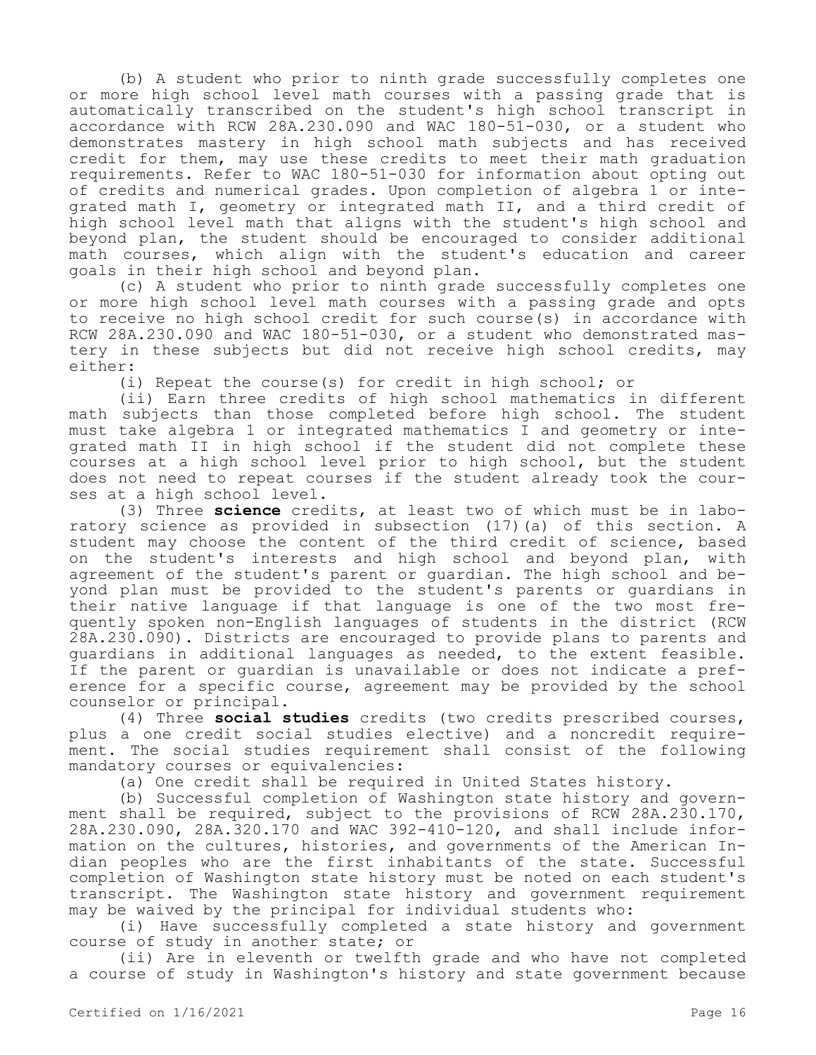(b) A student who prior to ninth grade successfully completes one or more high school level math courses with a passing grade that is automatically transcribed on the student's high school transcript in accordance with RCW 28A.230.090 and WAC 180-51-030, or a student who demonstrates mastery in high school math subjects and has received credit for them, may use these credits to meet their math graduation requirements. Refer to WAC 180-51-030 for information about opting out of credits and numerical grades. Upon completion of algebra 1 or integrated math I, geometry or integrated math II, and a third credit of high school level math that aligns with the student's high school and beyond plan, the student should be encouraged to consider additional math courses, which align with the student's education and career goals in their high school and beyond plan.

(c) A student who prior to ninth grade successfully completes one or more high school level math courses with a passing grade and opts to receive no high school credit for such course(s) in accordance with RCW 28A.230.090 and WAC 180-51-030, or a student who demonstrated mastery in these subjects but did not receive high school credits, may either:

(i) Repeat the course(s) for credit in high school; or

(ii) Earn three credits of high school mathematics in different math subjects than those completed before high school. The student must take algebra 1 or integrated mathematics I and geometry or integrated math II in high school if the student did not complete these courses at a high school level prior to high school, but the student does not need to repeat courses if the student already took the courses at a high school level.

(3) Three **science** credits, at least two of which must be in laboratory science as provided in subsection (17)(a) of this section. A student may choose the content of the third credit of science, based on the student's interests and high school and beyond plan, with agreement of the student's parent or guardian. The high school and beyond plan must be provided to the student's parents or guardians in their native language if that language is one of the two most frequently spoken non-English languages of students in the district (RCW 28A.230.090). Districts are encouraged to provide plans to parents and guardians in additional languages as needed, to the extent feasible. If the parent or guardian is unavailable or does not indicate a preference for a specific course, agreement may be provided by the school counselor or principal.

(4) Three **social studies** credits (two credits prescribed courses, plus a one credit social studies elective) and a noncredit requirement. The social studies requirement shall consist of the following mandatory courses or equivalencies:

(a) One credit shall be required in United States history.

(b) Successful completion of Washington state history and government shall be required, subject to the provisions of RCW 28A.230.170, 28A.230.090, 28A.320.170 and WAC 392-410-120, and shall include information on the cultures, histories, and governments of the American Indian peoples who are the first inhabitants of the state. Successful completion of Washington state history must be noted on each student's transcript. The Washington state history and government requirement may be waived by the principal for individual students who:

(i) Have successfully completed a state history and government course of study in another state; or

(ii) Are in eleventh or twelfth grade and who have not completed a course of study in Washington's history and state government because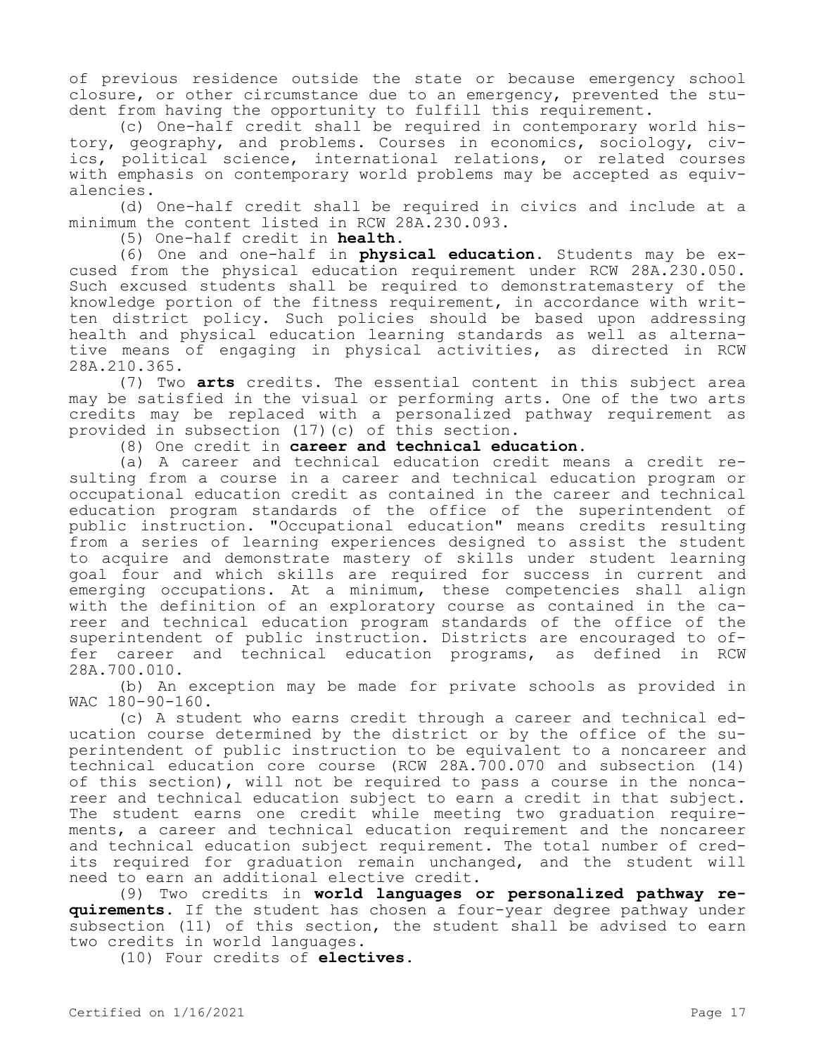of previous residence outside the state or because emergency school closure, or other circumstance due to an emergency, prevented the student from having the opportunity to fulfill this requirement.

(c) One-half credit shall be required in contemporary world history, geography, and problems. Courses in economics, sociology, civics, political science, international relations, or related courses with emphasis on contemporary world problems may be accepted as equivalencies.

(d) One-half credit shall be required in civics and include at a minimum the content listed in RCW 28A.230.093.

(5) One-half credit in **health**.

(6) One and one-half in **physical education**. Students may be excused from the physical education requirement under RCW 28A.230.050. Such excused students shall be required to demonstratemastery of the knowledge portion of the fitness requirement, in accordance with written district policy. Such policies should be based upon addressing health and physical education learning standards as well as alternative means of engaging in physical activities, as directed in RCW 28A.210.365.

(7) Two **arts** credits. The essential content in this subject area may be satisfied in the visual or performing arts. One of the two arts credits may be replaced with a personalized pathway requirement as provided in subsection (17)(c) of this section.

(8) One credit in **career and technical education**.

(a) A career and technical education credit means a credit resulting from a course in a career and technical education program or occupational education credit as contained in the career and technical education program standards of the office of the superintendent of public instruction. "Occupational education" means credits resulting from a series of learning experiences designed to assist the student to acquire and demonstrate mastery of skills under student learning goal four and which skills are required for success in current and emerging occupations. At a minimum, these competencies shall align with the definition of an exploratory course as contained in the career and technical education program standards of the office of the superintendent of public instruction. Districts are encouraged to offer career and technical education programs, as defined in RCW 28A.700.010.

(b) An exception may be made for private schools as provided in WAC 180-90-160.

(c) A student who earns credit through a career and technical education course determined by the district or by the office of the superintendent of public instruction to be equivalent to a noncareer and technical education core course (RCW 28A.700.070 and subsection (14) of this section), will not be required to pass a course in the noncareer and technical education subject to earn a credit in that subject. The student earns one credit while meeting two graduation requirements, a career and technical education requirement and the noncareer and technical education subject requirement. The total number of credits required for graduation remain unchanged, and the student will need to earn an additional elective credit.

(9) Two credits in **world languages or personalized pathway requirements**. If the student has chosen a four-year degree pathway under subsection (11) of this section, the student shall be advised to earn two credits in world languages.

(10) Four credits of **electives**.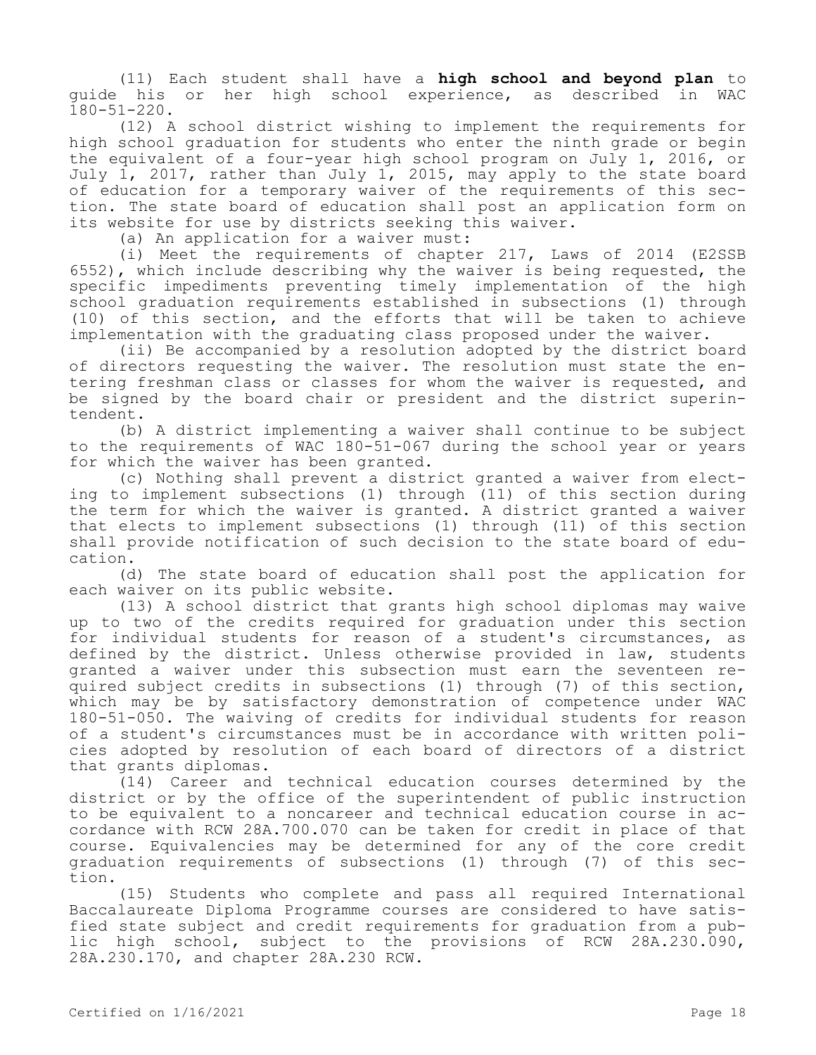(11) Each student shall have a **high school and beyond plan** to guide his or her high school experience, as described in WAC 180-51-220.

(12) A school district wishing to implement the requirements for high school graduation for students who enter the ninth grade or begin the equivalent of a four-year high school program on July 1, 2016, or July 1, 2017, rather than July 1, 2015, may apply to the state board of education for a temporary waiver of the requirements of this section. The state board of education shall post an application form on its website for use by districts seeking this waiver.

(a) An application for a waiver must:

(i) Meet the requirements of chapter 217, Laws of 2014 (E2SSB 6552), which include describing why the waiver is being requested, the specific impediments preventing timely implementation of the high school graduation requirements established in subsections (1) through (10) of this section, and the efforts that will be taken to achieve implementation with the graduating class proposed under the waiver.

(ii) Be accompanied by a resolution adopted by the district board of directors requesting the waiver. The resolution must state the entering freshman class or classes for whom the waiver is requested, and be signed by the board chair or president and the district superintendent.

(b) A district implementing a waiver shall continue to be subject to the requirements of WAC 180-51-067 during the school year or years for which the waiver has been granted.

(c) Nothing shall prevent a district granted a waiver from electing to implement subsections (1) through (11) of this section during the term for which the waiver is granted. A district granted a waiver that elects to implement subsections (1) through (11) of this section shall provide notification of such decision to the state board of education.

(d) The state board of education shall post the application for each waiver on its public website.

(13) A school district that grants high school diplomas may waive up to two of the credits required for graduation under this section for individual students for reason of a student's circumstances, as defined by the district. Unless otherwise provided in law, students granted a waiver under this subsection must earn the seventeen required subject credits in subsections (1) through (7) of this section, which may be by satisfactory demonstration of competence under WAC 180-51-050. The waiving of credits for individual students for reason of a student's circumstances must be in accordance with written policies adopted by resolution of each board of directors of a district that grants diplomas.

(14) Career and technical education courses determined by the district or by the office of the superintendent of public instruction to be equivalent to a noncareer and technical education course in accordance with RCW 28A.700.070 can be taken for credit in place of that course. Equivalencies may be determined for any of the core credit graduation requirements of subsections (1) through (7) of this section.

(15) Students who complete and pass all required International Baccalaureate Diploma Programme courses are considered to have satisfied state subject and credit requirements for graduation from a public high school, subject to the provisions of RCW 28A.230.090, 28A.230.170, and chapter 28A.230 RCW.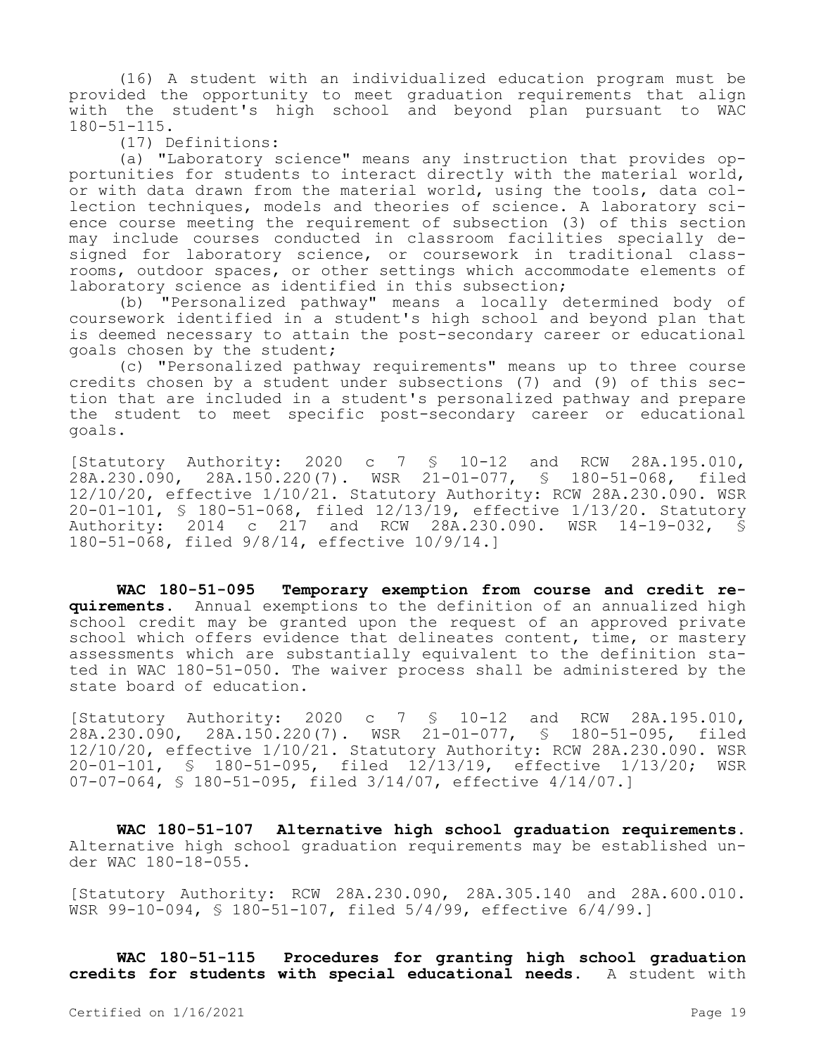(16) A student with an individualized education program must be provided the opportunity to meet graduation requirements that align with the student's high school and beyond plan pursuant to WAC 180-51-115.

(17) Definitions:

(a) "Laboratory science" means any instruction that provides opportunities for students to interact directly with the material world, or with data drawn from the material world, using the tools, data collection techniques, models and theories of science. A laboratory science course meeting the requirement of subsection (3) of this section may include courses conducted in classroom facilities specially designed for laboratory science, or coursework in traditional classrooms, outdoor spaces, or other settings which accommodate elements of laboratory science as identified in this subsection;

(b) "Personalized pathway" means a locally determined body of coursework identified in a student's high school and beyond plan that is deemed necessary to attain the post-secondary career or educational goals chosen by the student;

(c) "Personalized pathway requirements" means up to three course credits chosen by a student under subsections (7) and (9) of this section that are included in a student's personalized pathway and prepare the student to meet specific post-secondary career or educational goals.

[Statutory Authority: 2020 c 7 § 10-12 and RCW 28A.195.010, 28A.230.090, 28A.150.220(7). WSR 21-01-077, § 180-51-068, filed 12/10/20, effective 1/10/21. Statutory Authority: RCW 28A.230.090. WSR 20-01-101, § 180-51-068, filed 12/13/19, effective 1/13/20. Statutory Authority: 2014 c 217 and RCW 28A.230.090. WSR 14-19-032, § 180-51-068, filed 9/8/14, effective 10/9/14.]

**WAC 180-51-095 Temporary exemption from course and credit requirements.** Annual exemptions to the definition of an annualized high school credit may be granted upon the request of an approved private school which offers evidence that delineates content, time, or mastery assessments which are substantially equivalent to the definition stated in WAC 180-51-050. The waiver process shall be administered by the state board of education.

[Statutory Authority: 2020 c 7 § 10-12 and RCW 28A.195.010, 28A.230.090, 28A.150.220(7). WSR 21-01-077, § 180-51-095, filed 12/10/20, effective 1/10/21. Statutory Authority: RCW 28A.230.090. WSR 20-01-101, § 180-51-095, filed 12/13/19, effective 1/13/20; WSR 07-07-064, § 180-51-095, filed 3/14/07, effective 4/14/07.]

**WAC 180-51-107 Alternative high school graduation requirements.**  Alternative high school graduation requirements may be established under WAC 180-18-055.

[Statutory Authority: RCW 28A.230.090, 28A.305.140 and 28A.600.010. WSR 99-10-094, § 180-51-107, filed 5/4/99, effective 6/4/99.]

**WAC 180-51-115 Procedures for granting high school graduation credits for students with special educational needs.** A student with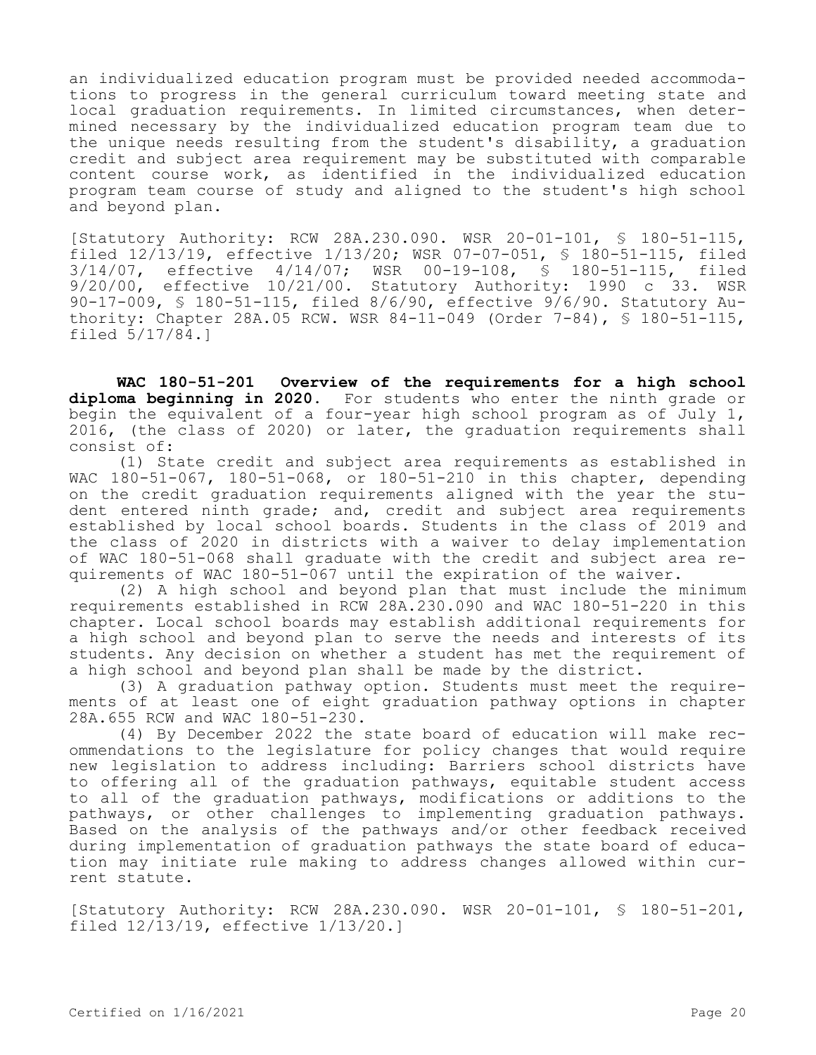an individualized education program must be provided needed accommodations to progress in the general curriculum toward meeting state and local graduation requirements. In limited circumstances, when determined necessary by the individualized education program team due to the unique needs resulting from the student's disability, a graduation credit and subject area requirement may be substituted with comparable content course work, as identified in the individualized education program team course of study and aligned to the student's high school and beyond plan.

[Statutory Authority: RCW 28A.230.090. WSR 20-01-101, § 180-51-115, filed 12/13/19, effective 1/13/20; WSR 07-07-051, § 180-51-115, filed 3/14/07, effective 4/14/07; WSR 00-19-108, § 180-51-115, filed 9/20/00, effective 10/21/00. Statutory Authority: 1990 c 33. WSR 90-17-009, § 180-51-115, filed 8/6/90, effective 9/6/90. Statutory Authority: Chapter 28A.05 RCW. WSR 84-11-049 (Order 7-84), § 180-51-115, filed 5/17/84.]

**WAC 180-51-201 Overview of the requirements for a high school diploma beginning in 2020.** For students who enter the ninth grade or begin the equivalent of a four-year high school program as of July 1, 2016, (the class of 2020) or later, the graduation requirements shall consist of:

(1) State credit and subject area requirements as established in WAC 180-51-067, 180-51-068, or 180-51-210 in this chapter, depending on the credit graduation requirements aligned with the year the student entered ninth grade; and, credit and subject area requirements established by local school boards. Students in the class of 2019 and the class of 2020 in districts with a waiver to delay implementation of WAC 180-51-068 shall graduate with the credit and subject area requirements of WAC 180-51-067 until the expiration of the waiver.

(2) A high school and beyond plan that must include the minimum requirements established in RCW 28A.230.090 and WAC 180-51-220 in this chapter. Local school boards may establish additional requirements for a high school and beyond plan to serve the needs and interests of its students. Any decision on whether a student has met the requirement of a high school and beyond plan shall be made by the district.

(3) A graduation pathway option. Students must meet the requirements of at least one of eight graduation pathway options in chapter 28A.655 RCW and WAC 180-51-230.

(4) By December 2022 the state board of education will make recommendations to the legislature for policy changes that would require new legislation to address including: Barriers school districts have to offering all of the graduation pathways, equitable student access to all of the graduation pathways, modifications or additions to the pathways, or other challenges to implementing graduation pathways. Based on the analysis of the pathways and/or other feedback received during implementation of graduation pathways the state board of education may initiate rule making to address changes allowed within current statute.

[Statutory Authority: RCW 28A.230.090. WSR 20-01-101, § 180-51-201, filed 12/13/19, effective 1/13/20.]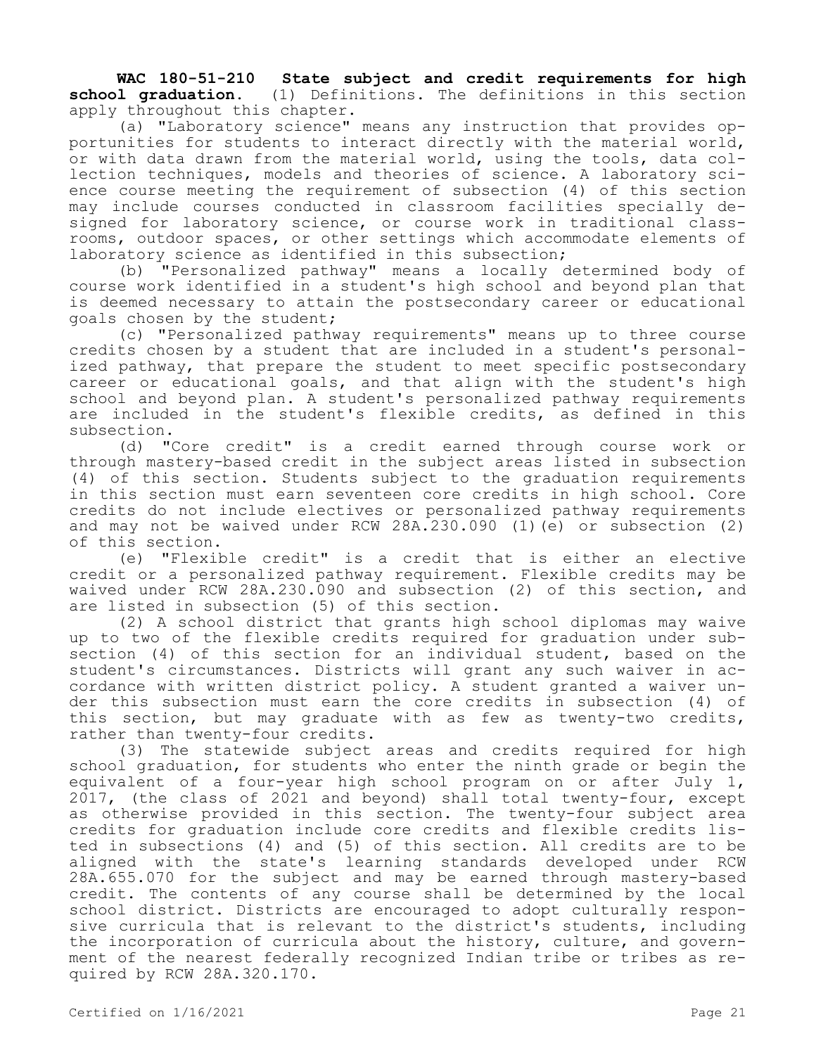**WAC 180-51-210 State subject and credit requirements for high school graduation.** (1) Definitions. The definitions in this section apply throughout this chapter.

(a) "Laboratory science" means any instruction that provides opportunities for students to interact directly with the material world, or with data drawn from the material world, using the tools, data collection techniques, models and theories of science. A laboratory science course meeting the requirement of subsection (4) of this section may include courses conducted in classroom facilities specially designed for laboratory science, or course work in traditional classrooms, outdoor spaces, or other settings which accommodate elements of laboratory science as identified in this subsection;

(b) "Personalized pathway" means a locally determined body of course work identified in a student's high school and beyond plan that is deemed necessary to attain the postsecondary career or educational goals chosen by the student;

(c) "Personalized pathway requirements" means up to three course credits chosen by a student that are included in a student's personalized pathway, that prepare the student to meet specific postsecondary career or educational goals, and that align with the student's high school and beyond plan. A student's personalized pathway requirements are included in the student's flexible credits, as defined in this subsection.

(d) "Core credit" is a credit earned through course work or through mastery-based credit in the subject areas listed in subsection (4) of this section. Students subject to the graduation requirements in this section must earn seventeen core credits in high school. Core credits do not include electives or personalized pathway requirements and may not be waived under RCW 28A.230.090 (1)(e) or subsection (2) of this section.

(e) "Flexible credit" is a credit that is either an elective credit or a personalized pathway requirement. Flexible credits may be waived under RCW 28A.230.090 and subsection (2) of this section, and are listed in subsection (5) of this section.

(2) A school district that grants high school diplomas may waive up to two of the flexible credits required for graduation under subsection (4) of this section for an individual student, based on the student's circumstances. Districts will grant any such waiver in accordance with written district policy. A student granted a waiver under this subsection must earn the core credits in subsection (4) of this section, but may graduate with as few as twenty-two credits, rather than twenty-four credits.

(3) The statewide subject areas and credits required for high school graduation, for students who enter the ninth grade or begin the equivalent of a four-year high school program on or after July 1, 2017, (the class of 2021 and beyond) shall total twenty-four, except as otherwise provided in this section. The twenty-four subject area credits for graduation include core credits and flexible credits listed in subsections (4) and (5) of this section. All credits are to be aligned with the state's learning standards developed under RCW 28A.655.070 for the subject and may be earned through mastery-based credit. The contents of any course shall be determined by the local school district. Districts are encouraged to adopt culturally responsive curricula that is relevant to the district's students, including the incorporation of curricula about the history, culture, and government of the nearest federally recognized Indian tribe or tribes as required by RCW 28A.320.170.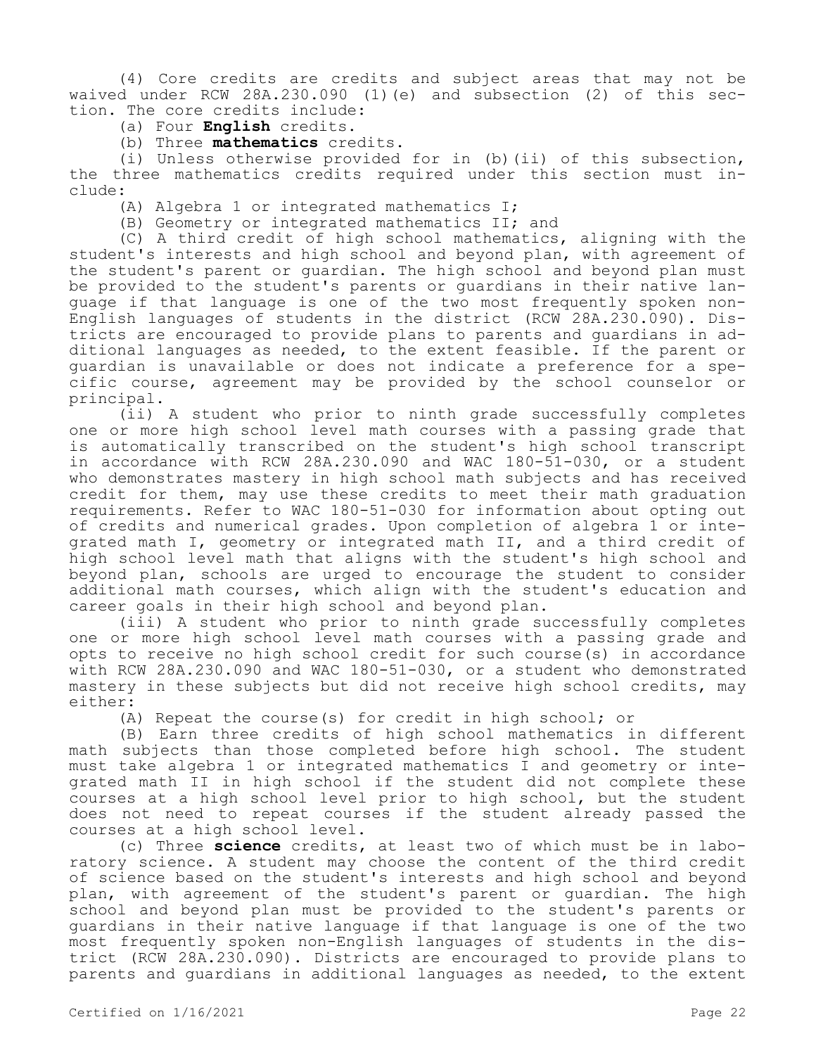(4) Core credits are credits and subject areas that may not be waived under RCW 28A.230.090 (1)(e) and subsection (2) of this section. The core credits include:

(a) Four **English** credits.

(b) Three **mathematics** credits.

(i) Unless otherwise provided for in (b)(ii) of this subsection, the three mathematics credits required under this section must include:

(A) Algebra 1 or integrated mathematics I;

(B) Geometry or integrated mathematics II; and

(C) A third credit of high school mathematics, aligning with the student's interests and high school and beyond plan, with agreement of the student's parent or guardian. The high school and beyond plan must be provided to the student's parents or guardians in their native language if that language is one of the two most frequently spoken non-English languages of students in the district (RCW 28A.230.090). Districts are encouraged to provide plans to parents and guardians in additional languages as needed, to the extent feasible. If the parent or guardian is unavailable or does not indicate a preference for a specific course, agreement may be provided by the school counselor or principal.

(ii) A student who prior to ninth grade successfully completes one or more high school level math courses with a passing grade that is automatically transcribed on the student's high school transcript in accordance with RCW 28A.230.090 and WAC 180-51-030, or a student who demonstrates mastery in high school math subjects and has received credit for them, may use these credits to meet their math graduation requirements. Refer to WAC 180-51-030 for information about opting out of credits and numerical grades. Upon completion of algebra 1 or integrated math I, geometry or integrated math II, and a third credit of high school level math that aligns with the student's high school and beyond plan, schools are urged to encourage the student to consider additional math courses, which align with the student's education and career goals in their high school and beyond plan.

(iii) A student who prior to ninth grade successfully completes one or more high school level math courses with a passing grade and opts to receive no high school credit for such course(s) in accordance with RCW 28A.230.090 and WAC 180-51-030, or a student who demonstrated mastery in these subjects but did not receive high school credits, may either:

(A) Repeat the course(s) for credit in high school; or

(B) Earn three credits of high school mathematics in different math subjects than those completed before high school. The student must take algebra 1 or integrated mathematics I and geometry or integrated math II in high school if the student did not complete these courses at a high school level prior to high school, but the student does not need to repeat courses if the student already passed the courses at a high school level.

(c) Three **science** credits, at least two of which must be in laboratory science. A student may choose the content of the third credit of science based on the student's interests and high school and beyond plan, with agreement of the student's parent or guardian. The high school and beyond plan must be provided to the student's parents or guardians in their native language if that language is one of the two most frequently spoken non-English languages of students in the district (RCW 28A.230.090). Districts are encouraged to provide plans to parents and guardians in additional languages as needed, to the extent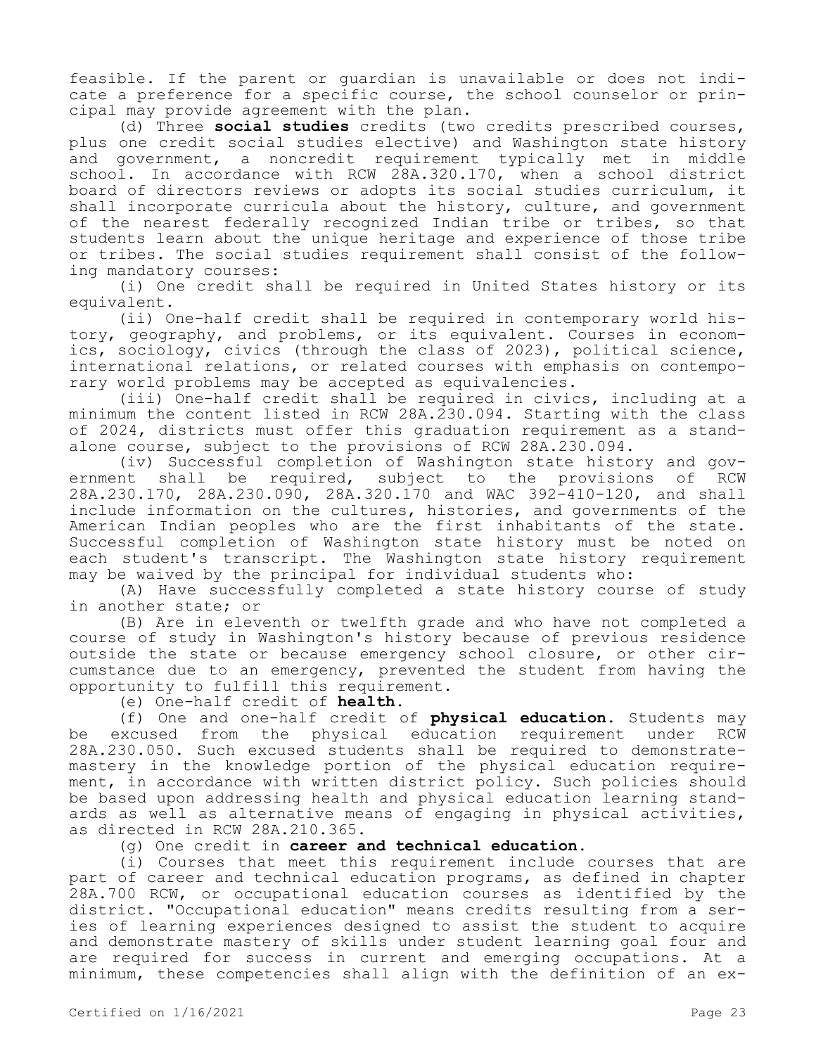feasible. If the parent or guardian is unavailable or does not indicate a preference for a specific course, the school counselor or principal may provide agreement with the plan.

(d) Three **social studies** credits (two credits prescribed courses, plus one credit social studies elective) and Washington state history and government, a noncredit requirement typically met in middle school. In accordance with RCW 28A.320.170, when a school district board of directors reviews or adopts its social studies curriculum, it shall incorporate curricula about the history, culture, and government of the nearest federally recognized Indian tribe or tribes, so that students learn about the unique heritage and experience of those tribe or tribes. The social studies requirement shall consist of the following mandatory courses:

(i) One credit shall be required in United States history or its equivalent.

(ii) One-half credit shall be required in contemporary world history, geography, and problems, or its equivalent. Courses in economics, sociology, civics (through the class of 2023), political science, international relations, or related courses with emphasis on contemporary world problems may be accepted as equivalencies.

(iii) One-half credit shall be required in civics, including at a minimum the content listed in RCW 28A.230.094. Starting with the class of 2024, districts must offer this graduation requirement as a standalone course, subject to the provisions of RCW 28A.230.094.

(iv) Successful completion of Washington state history and government shall be required, subject to the provisions of RCW 28A.230.170, 28A.230.090, 28A.320.170 and WAC 392-410-120, and shall include information on the cultures, histories, and governments of the American Indian peoples who are the first inhabitants of the state. Successful completion of Washington state history must be noted on each student's transcript. The Washington state history requirement may be waived by the principal for individual students who:

(A) Have successfully completed a state history course of study in another state; or

(B) Are in eleventh or twelfth grade and who have not completed a course of study in Washington's history because of previous residence outside the state or because emergency school closure, or other circumstance due to an emergency, prevented the student from having the opportunity to fulfill this requirement.

(e) One-half credit of **health**.

(f) One and one-half credit of **physical education**. Students may be excused from the physical education requirement under RCW 28A.230.050. Such excused students shall be required to demonstratemastery in the knowledge portion of the physical education requirement, in accordance with written district policy. Such policies should be based upon addressing health and physical education learning standards as well as alternative means of engaging in physical activities, as directed in RCW 28A.210.365.

(g) One credit in **career and technical education**.

(i) Courses that meet this requirement include courses that are part of career and technical education programs, as defined in chapter 28A.700 RCW, or occupational education courses as identified by the district. "Occupational education" means credits resulting from a series of learning experiences designed to assist the student to acquire and demonstrate mastery of skills under student learning goal four and are required for success in current and emerging occupations. At a minimum, these competencies shall align with the definition of an ex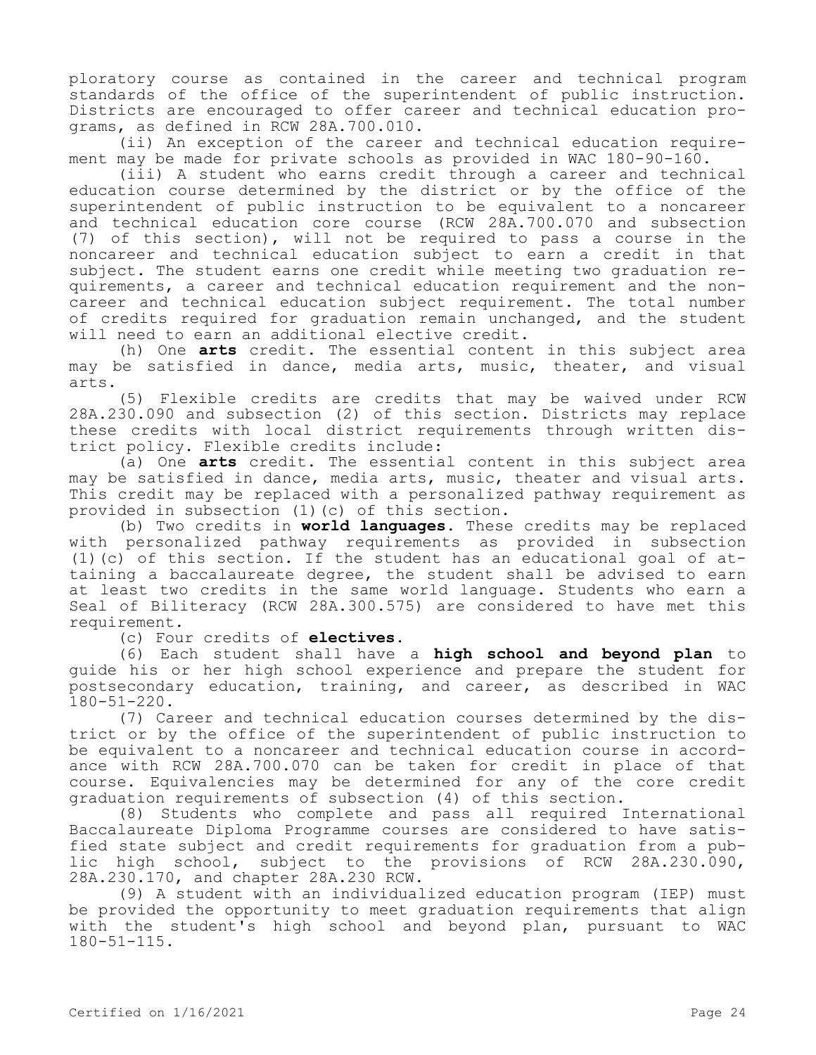ploratory course as contained in the career and technical program standards of the office of the superintendent of public instruction. Districts are encouraged to offer career and technical education programs, as defined in RCW 28A.700.010.

(ii) An exception of the career and technical education requirement may be made for private schools as provided in WAC 180-90-160.

(iii) A student who earns credit through a career and technical education course determined by the district or by the office of the superintendent of public instruction to be equivalent to a noncareer and technical education core course (RCW 28A.700.070 and subsection (7) of this section), will not be required to pass a course in the noncareer and technical education subject to earn a credit in that subject. The student earns one credit while meeting two graduation requirements, a career and technical education requirement and the noncareer and technical education subject requirement. The total number of credits required for graduation remain unchanged, and the student will need to earn an additional elective credit.

(h) One **arts** credit. The essential content in this subject area may be satisfied in dance, media arts, music, theater, and visual arts.

(5) Flexible credits are credits that may be waived under RCW 28A.230.090 and subsection (2) of this section. Districts may replace these credits with local district requirements through written district policy. Flexible credits include:

(a) One **arts** credit. The essential content in this subject area may be satisfied in dance, media arts, music, theater and visual arts. This credit may be replaced with a personalized pathway requirement as provided in subsection (1)(c) of this section.

(b) Two credits in **world languages**. These credits may be replaced with personalized pathway requirements as provided in subsection (1)(c) of this section. If the student has an educational goal of attaining a baccalaureate degree, the student shall be advised to earn at least two credits in the same world language. Students who earn a Seal of Biliteracy (RCW 28A.300.575) are considered to have met this requirement.

(c) Four credits of **electives**.

(6) Each student shall have a **high school and beyond plan** to guide his or her high school experience and prepare the student for postsecondary education, training, and career, as described in WAC 180-51-220.

(7) Career and technical education courses determined by the district or by the office of the superintendent of public instruction to be equivalent to a noncareer and technical education course in accordance with RCW 28A.700.070 can be taken for credit in place of that course. Equivalencies may be determined for any of the core credit graduation requirements of subsection (4) of this section.

(8) Students who complete and pass all required International Baccalaureate Diploma Programme courses are considered to have satisfied state subject and credit requirements for graduation from a public high school, subject to the provisions of RCW 28A.230.090, 28A.230.170, and chapter 28A.230 RCW.

(9) A student with an individualized education program (IEP) must be provided the opportunity to meet graduation requirements that align with the student's high school and beyond plan, pursuant to WAC 180-51-115.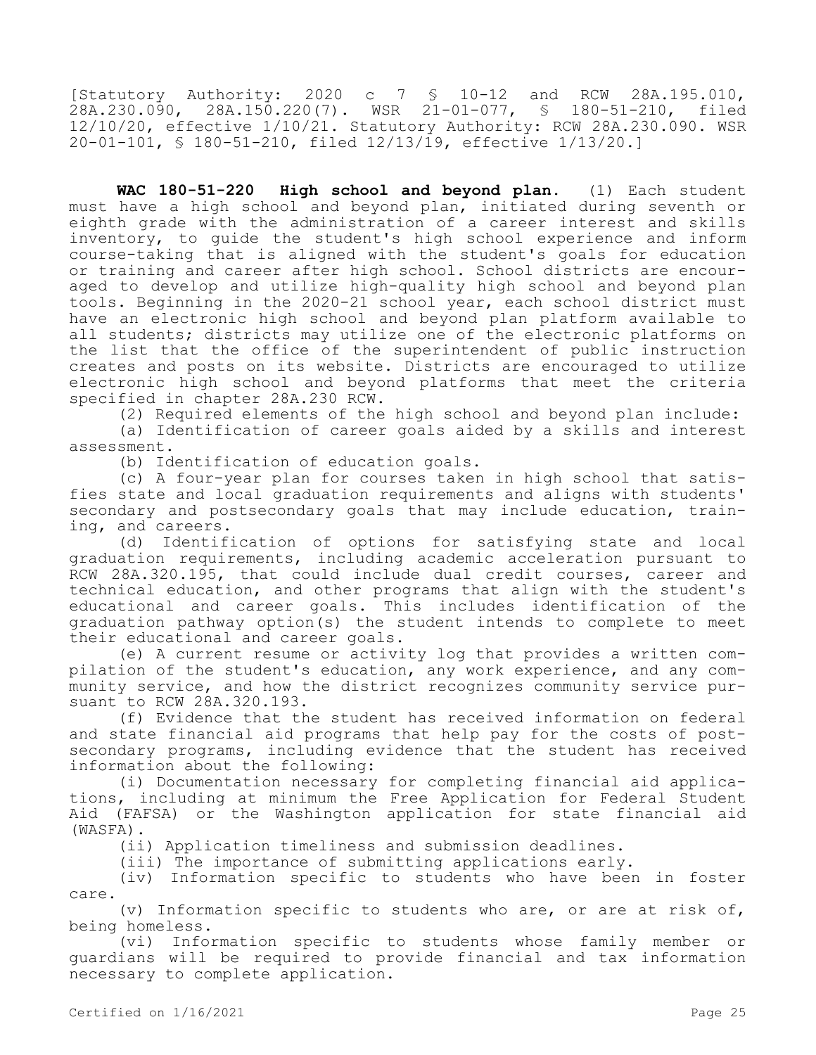[Statutory Authority: 2020 c 7 § 10-12 and RCW 28A.195.010, 28A.230.090, 28A.150.220(7). WSR 21-01-077, § 180-51-210, filed 12/10/20, effective 1/10/21. Statutory Authority: RCW 28A.230.090. WSR 20-01-101, § 180-51-210, filed 12/13/19, effective 1/13/20.]

**WAC 180-51-220 High school and beyond plan.** (1) Each student must have a high school and beyond plan, initiated during seventh or eighth grade with the administration of a career interest and skills inventory, to guide the student's high school experience and inform course-taking that is aligned with the student's goals for education or training and career after high school. School districts are encouraged to develop and utilize high-quality high school and beyond plan tools. Beginning in the 2020-21 school year, each school district must have an electronic high school and beyond plan platform available to all students; districts may utilize one of the electronic platforms on the list that the office of the superintendent of public instruction creates and posts on its website. Districts are encouraged to utilize electronic high school and beyond platforms that meet the criteria specified in chapter 28A.230 RCW.

(2) Required elements of the high school and beyond plan include: (a) Identification of career goals aided by a skills and interest assessment.

(b) Identification of education goals.

(c) A four-year plan for courses taken in high school that satisfies state and local graduation requirements and aligns with students' secondary and postsecondary goals that may include education, training, and careers.

(d) Identification of options for satisfying state and local graduation requirements, including academic acceleration pursuant to RCW 28A.320.195, that could include dual credit courses, career and technical education, and other programs that align with the student's educational and career goals. This includes identification of the graduation pathway option(s) the student intends to complete to meet their educational and career goals.

(e) A current resume or activity log that provides a written compilation of the student's education, any work experience, and any community service, and how the district recognizes community service pursuant to RCW 28A.320.193.

(f) Evidence that the student has received information on federal and state financial aid programs that help pay for the costs of postsecondary programs, including evidence that the student has received information about the following:

(i) Documentation necessary for completing financial aid applications, including at minimum the Free Application for Federal Student Aid (FAFSA) or the Washington application for state financial aid (WASFA).

(ii) Application timeliness and submission deadlines.

(iii) The importance of submitting applications early.

(iv) Information specific to students who have been in foster care.

(v) Information specific to students who are, or are at risk of, being homeless.

(vi) Information specific to students whose family member or guardians will be required to provide financial and tax information necessary to complete application.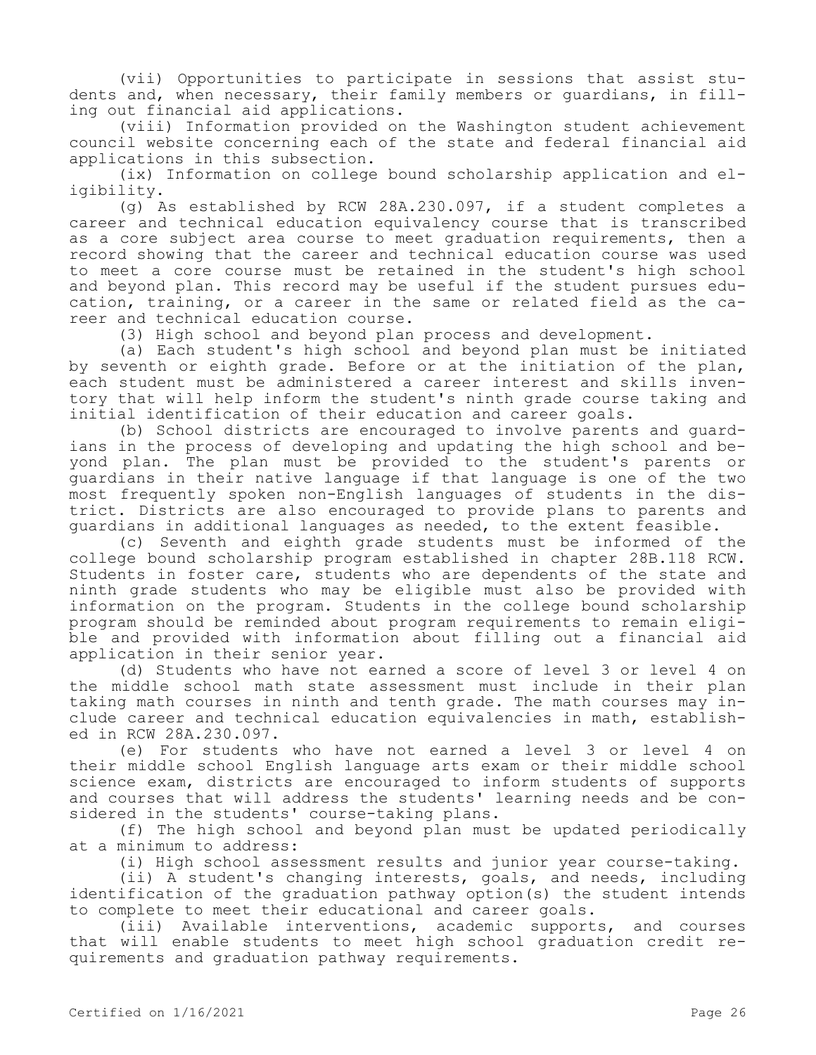(vii) Opportunities to participate in sessions that assist students and, when necessary, their family members or guardians, in filling out financial aid applications.

(viii) Information provided on the Washington student achievement council website concerning each of the state and federal financial aid applications in this subsection.

(ix) Information on college bound scholarship application and eligibility.

(g) As established by RCW 28A.230.097, if a student completes a career and technical education equivalency course that is transcribed as a core subject area course to meet graduation requirements, then a record showing that the career and technical education course was used to meet a core course must be retained in the student's high school and beyond plan. This record may be useful if the student pursues education, training, or a career in the same or related field as the career and technical education course.

(3) High school and beyond plan process and development.

(a) Each student's high school and beyond plan must be initiated by seventh or eighth grade. Before or at the initiation of the plan, each student must be administered a career interest and skills inventory that will help inform the student's ninth grade course taking and initial identification of their education and career goals.

(b) School districts are encouraged to involve parents and guardians in the process of developing and updating the high school and beyond plan. The plan must be provided to the student's parents or guardians in their native language if that language is one of the two most frequently spoken non-English languages of students in the district. Districts are also encouraged to provide plans to parents and guardians in additional languages as needed, to the extent feasible.

(c) Seventh and eighth grade students must be informed of the college bound scholarship program established in chapter 28B.118 RCW. Students in foster care, students who are dependents of the state and ninth grade students who may be eligible must also be provided with information on the program. Students in the college bound scholarship program should be reminded about program requirements to remain eligible and provided with information about filling out a financial aid application in their senior year.

(d) Students who have not earned a score of level 3 or level 4 on the middle school math state assessment must include in their plan taking math courses in ninth and tenth grade. The math courses may include career and technical education equivalencies in math, established in RCW 28A.230.097.

(e) For students who have not earned a level 3 or level 4 on their middle school English language arts exam or their middle school science exam, districts are encouraged to inform students of supports and courses that will address the students' learning needs and be considered in the students' course-taking plans.

(f) The high school and beyond plan must be updated periodically at a minimum to address:

(i) High school assessment results and junior year course-taking.

(ii) A student's changing interests, goals, and needs, including identification of the graduation pathway option(s) the student intends to complete to meet their educational and career goals.

(iii) Available interventions, academic supports, and courses that will enable students to meet high school graduation credit requirements and graduation pathway requirements.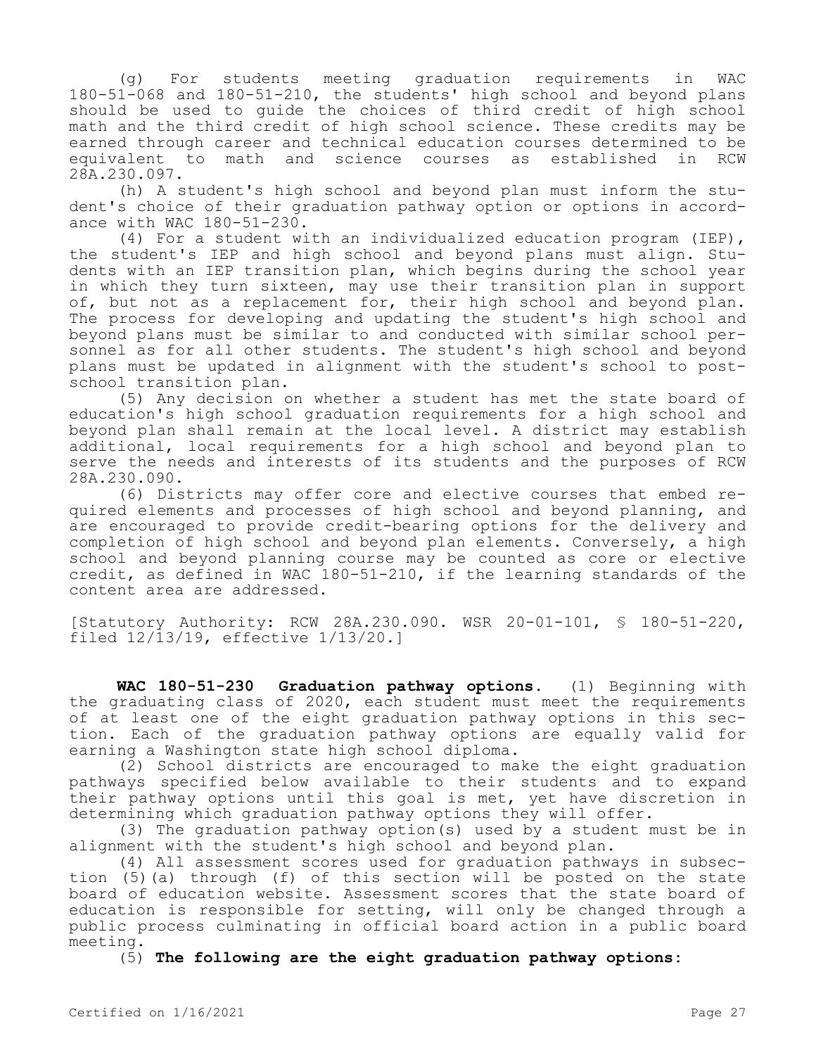(g) For students meeting graduation requirements in WAC 180-51-068 and 180-51-210, the students' high school and beyond plans should be used to guide the choices of third credit of high school math and the third credit of high school science. These credits may be earned through career and technical education courses determined to be equivalent to math and science courses as established in RCW 28A.230.097.

(h) A student's high school and beyond plan must inform the student's choice of their graduation pathway option or options in accordance with WAC 180-51-230.

(4) For a student with an individualized education program (IEP), the student's IEP and high school and beyond plans must align. Students with an IEP transition plan, which begins during the school year in which they turn sixteen, may use their transition plan in support of, but not as a replacement for, their high school and beyond plan. The process for developing and updating the student's high school and beyond plans must be similar to and conducted with similar school personnel as for all other students. The student's high school and beyond plans must be updated in alignment with the student's school to postschool transition plan.

(5) Any decision on whether a student has met the state board of education's high school graduation requirements for a high school and beyond plan shall remain at the local level. A district may establish additional, local requirements for a high school and beyond plan to serve the needs and interests of its students and the purposes of RCW 28A.230.090.

(6) Districts may offer core and elective courses that embed required elements and processes of high school and beyond planning, and are encouraged to provide credit-bearing options for the delivery and completion of high school and beyond plan elements. Conversely, a high school and beyond planning course may be counted as core or elective credit, as defined in WAC 180-51-210, if the learning standards of the content area are addressed.

[Statutory Authority: RCW 28A.230.090. WSR 20-01-101, § 180-51-220, filed 12/13/19, effective 1/13/20.]

**WAC 180-51-230 Graduation pathway options.** (1) Beginning with the graduating class of 2020, each student must meet the requirements of at least one of the eight graduation pathway options in this section. Each of the graduation pathway options are equally valid for earning a Washington state high school diploma.

(2) School districts are encouraged to make the eight graduation pathways specified below available to their students and to expand their pathway options until this goal is met, yet have discretion in determining which graduation pathway options they will offer.

(3) The graduation pathway option(s) used by a student must be in alignment with the student's high school and beyond plan.

(4) All assessment scores used for graduation pathways in subsection (5)(a) through (f) of this section will be posted on the state board of education website. Assessment scores that the state board of education is responsible for setting, will only be changed through a public process culminating in official board action in a public board meeting.

(5) **The following are the eight graduation pathway options:**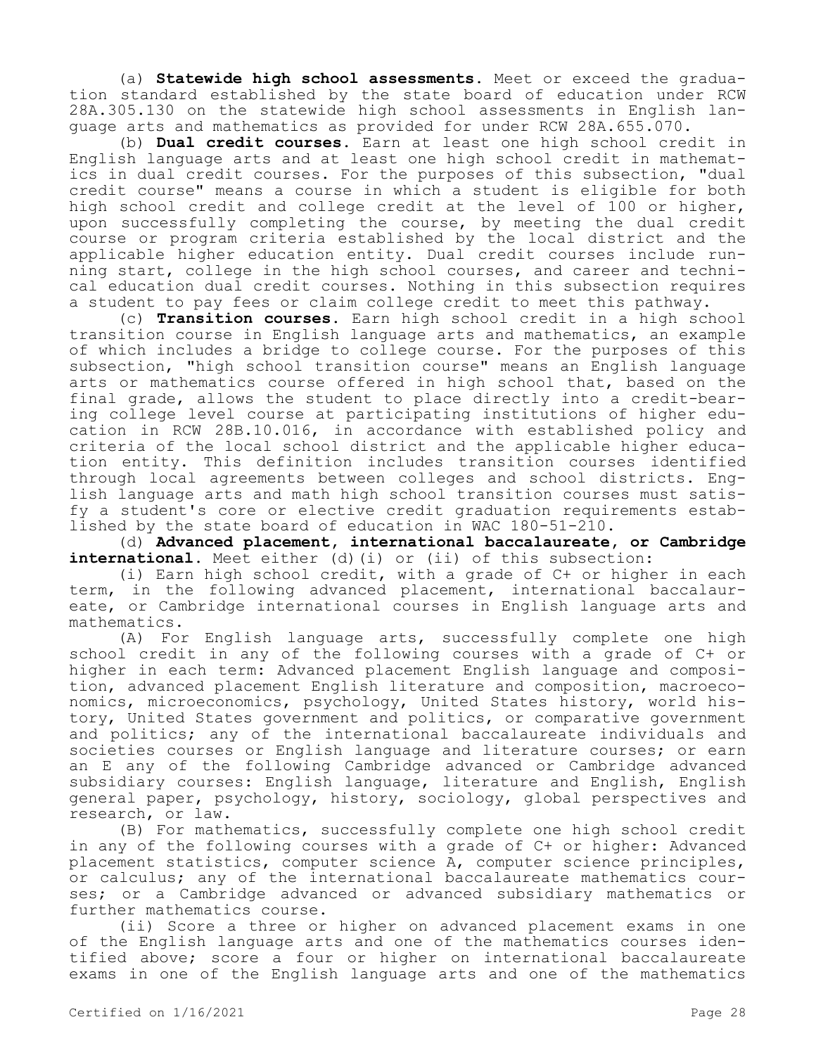(a) **Statewide high school assessments.** Meet or exceed the graduation standard established by the state board of education under RCW 28A.305.130 on the statewide high school assessments in English language arts and mathematics as provided for under RCW 28A.655.070.

(b) **Dual credit courses.** Earn at least one high school credit in English language arts and at least one high school credit in mathematics in dual credit courses. For the purposes of this subsection, "dual credit course" means a course in which a student is eligible for both high school credit and college credit at the level of 100 or higher, upon successfully completing the course, by meeting the dual credit course or program criteria established by the local district and the applicable higher education entity. Dual credit courses include running start, college in the high school courses, and career and technical education dual credit courses. Nothing in this subsection requires a student to pay fees or claim college credit to meet this pathway.

(c) **Transition courses.** Earn high school credit in a high school transition course in English language arts and mathematics, an example of which includes a bridge to college course. For the purposes of this subsection, "high school transition course" means an English language arts or mathematics course offered in high school that, based on the final grade, allows the student to place directly into a credit-bearing college level course at participating institutions of higher education in RCW 28B.10.016, in accordance with established policy and criteria of the local school district and the applicable higher education entity. This definition includes transition courses identified through local agreements between colleges and school districts. English language arts and math high school transition courses must satisfy a student's core or elective credit graduation requirements established by the state board of education in WAC 180-51-210.

(d) **Advanced placement, international baccalaureate, or Cambridge**  international. Meet either (d)(i) or (ii) of this subsection:

(i) Earn high school credit, with a grade of C+ or higher in each term, in the following advanced placement, international baccalaureate, or Cambridge international courses in English language arts and mathematics.

(A) For English language arts, successfully complete one high school credit in any of the following courses with a grade of C+ or higher in each term: Advanced placement English language and composition, advanced placement English literature and composition, macroeconomics, microeconomics, psychology, United States history, world history, United States government and politics, or comparative government and politics; any of the international baccalaureate individuals and societies courses or English language and literature courses; or earn an E any of the following Cambridge advanced or Cambridge advanced subsidiary courses: English language, literature and English, English general paper, psychology, history, sociology, global perspectives and research, or law.

(B) For mathematics, successfully complete one high school credit in any of the following courses with a grade of C+ or higher: Advanced placement statistics, computer science A, computer science principles, or calculus; any of the international baccalaureate mathematics courses; or a Cambridge advanced or advanced subsidiary mathematics or further mathematics course.

(ii) Score a three or higher on advanced placement exams in one of the English language arts and one of the mathematics courses identified above; score a four or higher on international baccalaureate exams in one of the English language arts and one of the mathematics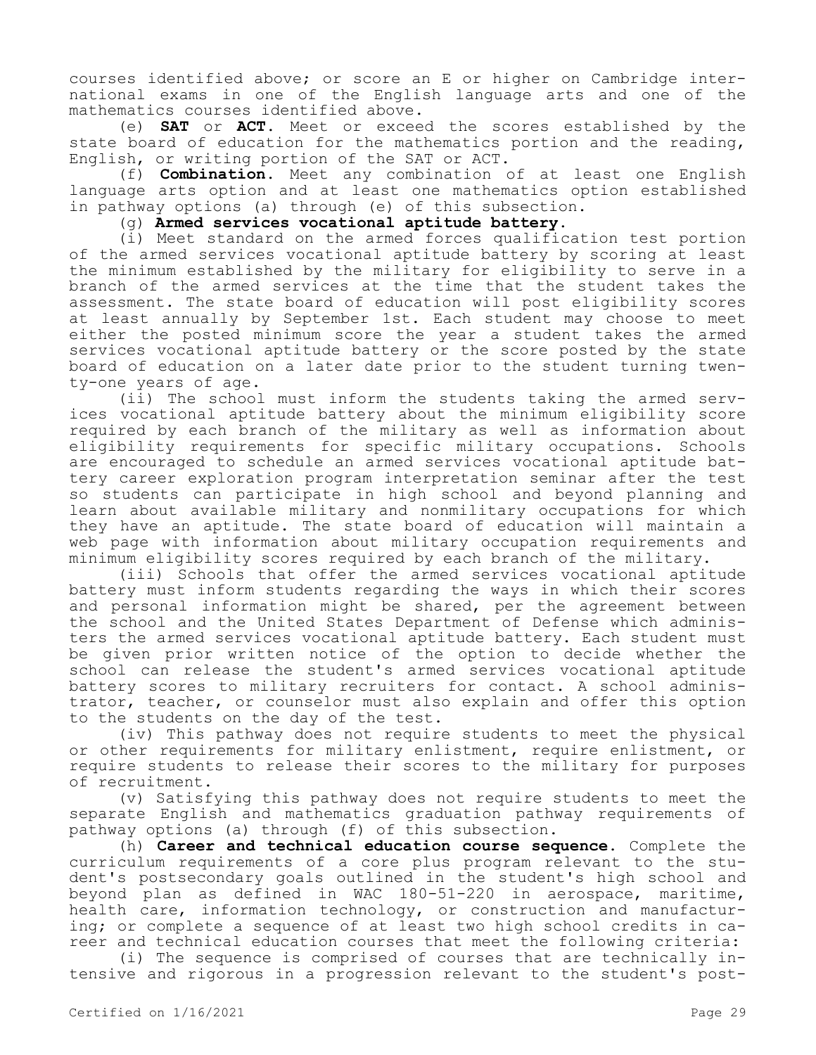courses identified above; or score an E or higher on Cambridge international exams in one of the English language arts and one of the mathematics courses identified above.

(e) **SAT** or **ACT.** Meet or exceed the scores established by the state board of education for the mathematics portion and the reading, English, or writing portion of the SAT or ACT.

(f) **Combination.** Meet any combination of at least one English language arts option and at least one mathematics option established in pathway options (a) through (e) of this subsection.

(g) **Armed services vocational aptitude battery.**

(i) Meet standard on the armed forces qualification test portion of the armed services vocational aptitude battery by scoring at least the minimum established by the military for eligibility to serve in a branch of the armed services at the time that the student takes the assessment. The state board of education will post eligibility scores at least annually by September 1st. Each student may choose to meet either the posted minimum score the year a student takes the armed services vocational aptitude battery or the score posted by the state board of education on a later date prior to the student turning twenty-one years of age.

(ii) The school must inform the students taking the armed services vocational aptitude battery about the minimum eligibility score required by each branch of the military as well as information about eligibility requirements for specific military occupations. Schools are encouraged to schedule an armed services vocational aptitude battery career exploration program interpretation seminar after the test so students can participate in high school and beyond planning and learn about available military and nonmilitary occupations for which they have an aptitude. The state board of education will maintain a web page with information about military occupation requirements and minimum eligibility scores required by each branch of the military.

(iii) Schools that offer the armed services vocational aptitude battery must inform students regarding the ways in which their scores and personal information might be shared, per the agreement between the school and the United States Department of Defense which administers the armed services vocational aptitude battery. Each student must be given prior written notice of the option to decide whether the school can release the student's armed services vocational aptitude battery scores to military recruiters for contact. A school administrator, teacher, or counselor must also explain and offer this option to the students on the day of the test.

(iv) This pathway does not require students to meet the physical or other requirements for military enlistment, require enlistment, or require students to release their scores to the military for purposes of recruitment.

(v) Satisfying this pathway does not require students to meet the separate English and mathematics graduation pathway requirements of pathway options (a) through (f) of this subsection.

(h) **Career and technical education course sequence.** Complete the curriculum requirements of a core plus program relevant to the student's postsecondary goals outlined in the student's high school and beyond plan as defined in WAC 180-51-220 in aerospace, maritime, health care, information technology, or construction and manufacturing; or complete a sequence of at least two high school credits in career and technical education courses that meet the following criteria:

(i) The sequence is comprised of courses that are technically intensive and rigorous in a progression relevant to the student's post